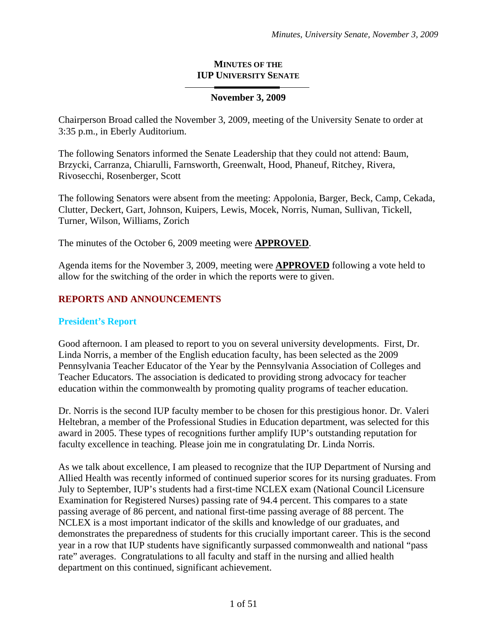### **MINUTES OF THE IUP UNIVERSITY SENATE**

## **November 3, 2009**

Chairperson Broad called the November 3, 2009, meeting of the University Senate to order at 3:35 p.m., in Eberly Auditorium.

The following Senators informed the Senate Leadership that they could not attend: Baum, Brzycki, Carranza, Chiarulli, Farnsworth, Greenwalt, Hood, Phaneuf, Ritchey, Rivera, Rivosecchi, Rosenberger, Scott

The following Senators were absent from the meeting: Appolonia, Barger, Beck, Camp, Cekada, Clutter, Deckert, Gart, Johnson, Kuipers, Lewis, Mocek, Norris, Numan, Sullivan, Tickell, Turner, Wilson, Williams, Zorich

The minutes of the October 6, 2009 meeting were **APPROVED**.

Agenda items for the November 3, 2009, meeting were **APPROVED** following a vote held to allow for the switching of the order in which the reports were to given.

## **REPORTS AND ANNOUNCEMENTS**

### **President's Report**

Good afternoon. I am pleased to report to you on several university developments. First, Dr. Linda Norris, a member of the English education faculty, has been selected as the 2009 Pennsylvania Teacher Educator of the Year by the Pennsylvania Association of Colleges and Teacher Educators. The association is dedicated to providing strong advocacy for teacher education within the commonwealth by promoting quality programs of teacher education.

Dr. Norris is the second IUP faculty member to be chosen for this prestigious honor. Dr. Valeri Heltebran, a member of the Professional Studies in Education department, was selected for this award in 2005. These types of recognitions further amplify IUP's outstanding reputation for faculty excellence in teaching. Please join me in congratulating Dr. Linda Norris.

As we talk about excellence, I am pleased to recognize that the IUP Department of Nursing and Allied Health was recently informed of continued superior scores for its nursing graduates. From July to September, IUP's students had a first-time NCLEX exam (National Council Licensure Examination for Registered Nurses) passing rate of 94.4 percent. This compares to a state passing average of 86 percent, and national first-time passing average of 88 percent. The NCLEX is a most important indicator of the skills and knowledge of our graduates, and demonstrates the preparedness of students for this crucially important career. This is the second year in a row that IUP students have significantly surpassed commonwealth and national "pass rate" averages. Congratulations to all faculty and staff in the nursing and allied health department on this continued, significant achievement.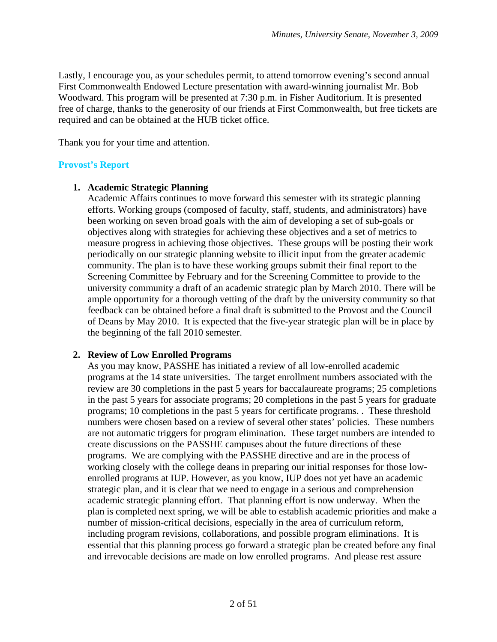Lastly, I encourage you, as your schedules permit, to attend tomorrow evening's second annual First Commonwealth Endowed Lecture presentation with award-winning journalist Mr. Bob Woodward. This program will be presented at 7:30 p.m. in Fisher Auditorium. It is presented free of charge, thanks to the generosity of our friends at First Commonwealth, but free tickets are required and can be obtained at the HUB ticket office.

Thank you for your time and attention.

## **Provost's Report**

## **1. Academic Strategic Planning**

Academic Affairs continues to move forward this semester with its strategic planning efforts. Working groups (composed of faculty, staff, students, and administrators) have been working on seven broad goals with the aim of developing a set of sub-goals or objectives along with strategies for achieving these objectives and a set of metrics to measure progress in achieving those objectives. These groups will be posting their work periodically on our strategic planning website to illicit input from the greater academic community. The plan is to have these working groups submit their final report to the Screening Committee by February and for the Screening Committee to provide to the university community a draft of an academic strategic plan by March 2010. There will be ample opportunity for a thorough vetting of the draft by the university community so that feedback can be obtained before a final draft is submitted to the Provost and the Council of Deans by May 2010. It is expected that the five-year strategic plan will be in place by the beginning of the fall 2010 semester.

## **2. Review of Low Enrolled Programs**

As you may know, PASSHE has initiated a review of all low-enrolled academic programs at the 14 state universities. The target enrollment numbers associated with the review are 30 completions in the past 5 years for baccalaureate programs; 25 completions in the past 5 years for associate programs; 20 completions in the past 5 years for graduate programs; 10 completions in the past 5 years for certificate programs. . These threshold numbers were chosen based on a review of several other states' policies. These numbers are not automatic triggers for program elimination. These target numbers are intended to create discussions on the PASSHE campuses about the future directions of these programs. We are complying with the PASSHE directive and are in the process of working closely with the college deans in preparing our initial responses for those lowenrolled programs at IUP. However, as you know, IUP does not yet have an academic strategic plan, and it is clear that we need to engage in a serious and comprehension academic strategic planning effort. That planning effort is now underway. When the plan is completed next spring, we will be able to establish academic priorities and make a number of mission-critical decisions, especially in the area of curriculum reform, including program revisions, collaborations, and possible program eliminations. It is essential that this planning process go forward a strategic plan be created before any final and irrevocable decisions are made on low enrolled programs. And please rest assure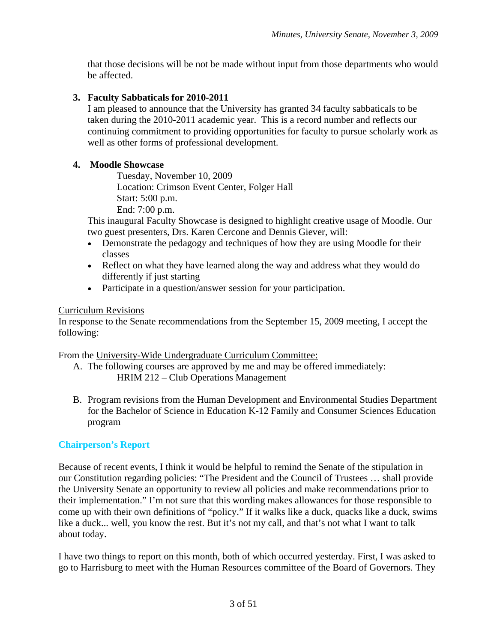that those decisions will be not be made without input from those departments who would be affected.

## **3. Faculty Sabbaticals for 2010-2011**

I am pleased to announce that the University has granted 34 faculty sabbaticals to be taken during the 2010-2011 academic year. This is a record number and reflects our continuing commitment to providing opportunities for faculty to pursue scholarly work as well as other forms of professional development.

### **4. Moodle Showcase**

Tuesday, November 10, 2009 Location: Crimson Event Center, Folger Hall Start: 5:00 p.m. End: 7:00 p.m.

This inaugural Faculty Showcase is designed to highlight creative usage of Moodle. Our two guest presenters, Drs. Karen Cercone and Dennis Giever, will:

- Demonstrate the pedagogy and techniques of how they are using Moodle for their classes
- Reflect on what they have learned along the way and address what they would do differently if just starting
- Participate in a question/answer session for your participation.

### Curriculum Revisions

In response to the Senate recommendations from the September 15, 2009 meeting, I accept the following:

From the University-Wide Undergraduate Curriculum Committee:

- A. The following courses are approved by me and may be offered immediately: HRIM 212 – Club Operations Management
- B. Program revisions from the Human Development and Environmental Studies Department for the Bachelor of Science in Education K-12 Family and Consumer Sciences Education program

## **Chairperson's Report**

Because of recent events, I think it would be helpful to remind the Senate of the stipulation in our Constitution regarding policies: "The President and the Council of Trustees … shall provide the University Senate an opportunity to review all policies and make recommendations prior to their implementation." I'm not sure that this wording makes allowances for those responsible to come up with their own definitions of "policy." If it walks like a duck, quacks like a duck, swims like a duck... well, you know the rest. But it's not my call, and that's not what I want to talk about today.

I have two things to report on this month, both of which occurred yesterday. First, I was asked to go to Harrisburg to meet with the Human Resources committee of the Board of Governors. They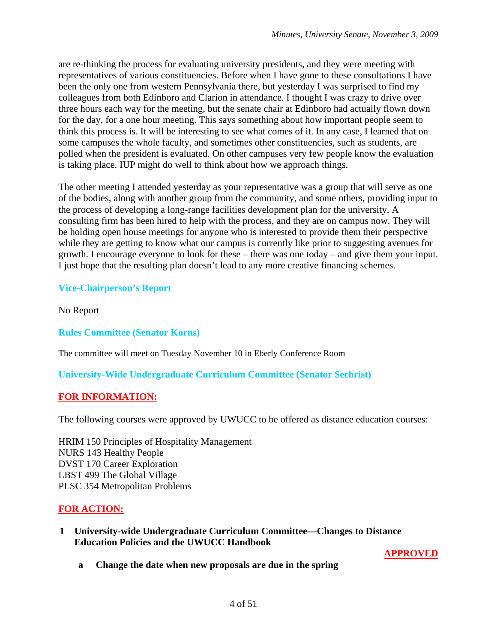are re-thinking the process for evaluating university presidents, and they were meeting with representatives of various constituencies. Before when I have gone to these consultations I have been the only one from western Pennsylvania there, but yesterday I was surprised to find my colleagues from both Edinboro and Clarion in attendance. I thought I was crazy to drive over three hours each way for the meeting, but the senate chair at Edinboro had actually flown down for the day, for a one hour meeting. This says something about how important people seem to think this process is. It will be interesting to see what comes of it. In any case, I learned that on some campuses the whole faculty, and sometimes other constituencies, such as students, are polled when the president is evaluated. On other campuses very few people know the evaluation is taking place. IUP might do well to think about how we approach things.

The other meeting I attended yesterday as your representative was a group that will serve as one of the bodies, along with another group from the community, and some others, providing input to the process of developing a long-range facilities development plan for the university. A consulting firm has been hired to help with the process, and they are on campus now. They will be holding open house meetings for anyone who is interested to provide them their perspective while they are getting to know what our campus is currently like prior to suggesting avenues for growth. I encourage everyone to look for these – there was one today – and give them your input. I just hope that the resulting plan doesn't lead to any more creative financing schemes.

## **Vice-Chairperson's Report**

No Report

**Rules Committee (Senator Korns)** 

The committee will meet on Tuesday November 10 in Eberly Conference Room

**University-Wide Undergraduate Curriculum Committee (Senator Sechrist)** 

## **FOR INFORMATION:**

The following courses were approved by UWUCC to be offered as distance education courses:

HRIM 150 Principles of Hospitality Management NURS 143 Healthy People DVST 170 Career Exploration LBST 499 The Global Village PLSC 354 Metropolitan Problems

## **FOR ACTION:**

**1 University-wide Undergraduate Curriculum Committee—Changes to Distance Education Policies and the UWUCC Handbook** 

**APPROVED**

**a Change the date when new proposals are due in the spring**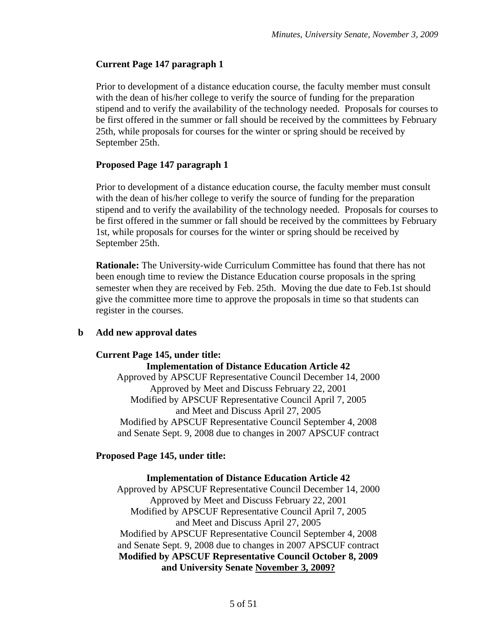## **Current Page 147 paragraph 1**

Prior to development of a distance education course, the faculty member must consult with the dean of his/her college to verify the source of funding for the preparation stipend and to verify the availability of the technology needed. Proposals for courses to be first offered in the summer or fall should be received by the committees by February 25th, while proposals for courses for the winter or spring should be received by September 25th.

## **Proposed Page 147 paragraph 1**

Prior to development of a distance education course, the faculty member must consult with the dean of his/her college to verify the source of funding for the preparation stipend and to verify the availability of the technology needed. Proposals for courses to be first offered in the summer or fall should be received by the committees by February 1st, while proposals for courses for the winter or spring should be received by September 25th.

**Rationale:** The University-wide Curriculum Committee has found that there has not been enough time to review the Distance Education course proposals in the spring semester when they are received by Feb. 25th. Moving the due date to Feb.1st should give the committee more time to approve the proposals in time so that students can register in the courses.

## **b Add new approval dates**

## **Current Page 145, under title:**

**Implementation of Distance Education Article 42**  Approved by APSCUF Representative Council December 14, 2000 Approved by Meet and Discuss February 22, 2001 Modified by APSCUF Representative Council April 7, 2005 and Meet and Discuss April 27, 2005 Modified by APSCUF Representative Council September 4, 2008 and Senate Sept. 9, 2008 due to changes in 2007 APSCUF contract

## **Proposed Page 145, under title:**

## **Implementation of Distance Education Article 42**

Approved by APSCUF Representative Council December 14, 2000 Approved by Meet and Discuss February 22, 2001 Modified by APSCUF Representative Council April 7, 2005 and Meet and Discuss April 27, 2005 Modified by APSCUF Representative Council September 4, 2008 and Senate Sept. 9, 2008 due to changes in 2007 APSCUF contract **Modified by APSCUF Representative Council October 8, 2009 and University Senate November 3, 2009?**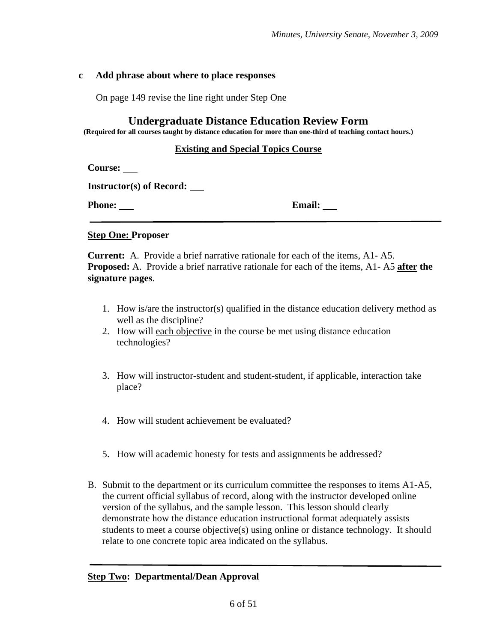### **c Add phrase about where to place responses**

On page 149 revise the line right under Step One

### **Undergraduate Distance Education Review Form**

**(Required for all courses taught by distance education for more than one-third of teaching contact hours.)** 

### **Existing and Special Topics Course**

 **Course:** 

 **Instructor(s) of Record:** 

**Phone:** Email:

### **Step One: Proposer**

 **Current:** A. Provide a brief narrative rationale for each of the items, A1- A5.  **Proposed:** A. Provide a brief narrative rationale for each of the items, A1- A5 **after the signature pages**.

- 1. How is/are the instructor(s) qualified in the distance education delivery method as well as the discipline?
- 2. How will each objective in the course be met using distance education technologies?
- 3. How will instructor-student and student-student, if applicable, interaction take place?
- 4. How will student achievement be evaluated?
- 5. How will academic honesty for tests and assignments be addressed?
- B. Submit to the department or its curriculum committee the responses to items A1-A5, the current official syllabus of record, along with the instructor developed online version of the syllabus, and the sample lesson. This lesson should clearly demonstrate how the distance education instructional format adequately assists students to meet a course objective(s) using online or distance technology. It should relate to one concrete topic area indicated on the syllabus.

### **Step Two: Departmental/Dean Approval**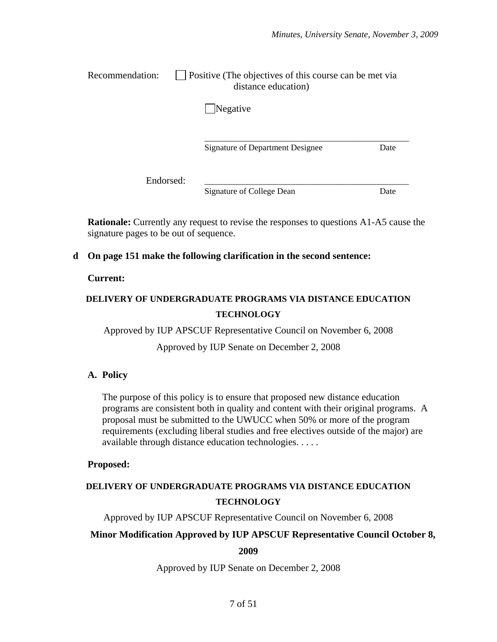| Recommendation: | $\Box$ Positive (The objectives of this course can be met via |
|-----------------|---------------------------------------------------------------|
|                 | distance education)                                           |

**Negative** 

Signature of Department Designee Date

 $\overline{\phantom{a}}$  ,  $\overline{\phantom{a}}$  ,  $\overline{\phantom{a}}$  ,  $\overline{\phantom{a}}$  ,  $\overline{\phantom{a}}$  ,  $\overline{\phantom{a}}$  ,  $\overline{\phantom{a}}$  ,  $\overline{\phantom{a}}$  ,  $\overline{\phantom{a}}$  ,  $\overline{\phantom{a}}$  ,  $\overline{\phantom{a}}$  ,  $\overline{\phantom{a}}$  ,  $\overline{\phantom{a}}$  ,  $\overline{\phantom{a}}$  ,  $\overline{\phantom{a}}$  ,  $\overline{\phantom{a}}$ 

Endorsed: \_\_\_\_\_\_\_\_\_\_\_\_\_\_\_\_\_\_\_\_\_\_\_\_\_\_\_\_\_\_\_\_\_\_\_\_\_\_\_\_\_\_\_\_\_\_\_\_

Signature of College Dean Date

**Rationale:** Currently any request to revise the responses to questions A1-A5 cause the signature pages to be out of sequence.

### **d On page 151 make the following clarification in the second sentence:**

### **Current:**

# **DELIVERY OF UNDERGRADUATE PROGRAMS VIA DISTANCE EDUCATION TECHNOLOGY**

Approved by IUP APSCUF Representative Council on November 6, 2008

Approved by IUP Senate on December 2, 2008

### **A. Policy**

The purpose of this policy is to ensure that proposed new distance education programs are consistent both in quality and content with their original programs. A proposal must be submitted to the UWUCC when 50% or more of the program requirements (excluding liberal studies and free electives outside of the major) are available through distance education technologies. . . . .

### **Proposed:**

# **DELIVERY OF UNDERGRADUATE PROGRAMS VIA DISTANCE EDUCATION TECHNOLOGY**

Approved by IUP APSCUF Representative Council on November 6, 2008

### **Minor Modification Approved by IUP APSCUF Representative Council October 8,**

**2009** 

Approved by IUP Senate on December 2, 2008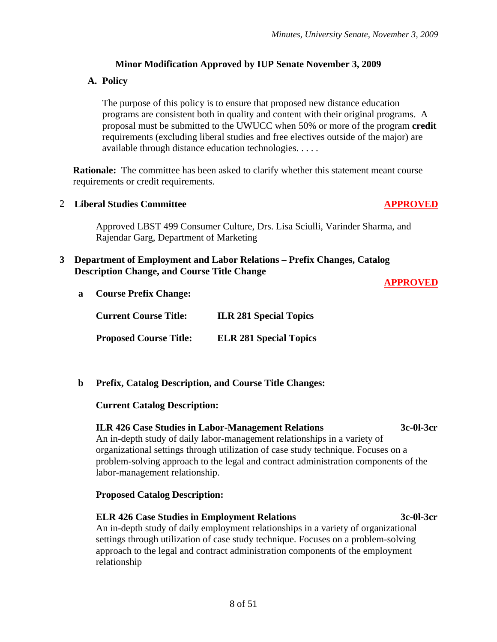## **Minor Modification Approved by IUP Senate November 3, 2009**

## **A. Policy**

The purpose of this policy is to ensure that proposed new distance education programs are consistent both in quality and content with their original programs. A proposal must be submitted to the UWUCC when 50% or more of the program **credit** requirements (excluding liberal studies and free electives outside of the major) are available through distance education technologies. . . . .

**Rationale:** The committee has been asked to clarify whether this statement meant course requirements or credit requirements.

### 2 **Liberal Studies Committee APPROVED**

Approved LBST 499 Consumer Culture, Drs. Lisa Sciulli, Varinder Sharma, and Rajendar Garg, Department of Marketing

### **3 Department of Employment and Labor Relations – Prefix Changes, Catalog Description Change, and Course Title Change**

### **APPROVED**

**a Course Prefix Change:** 

**Current Course Title: ILR 281 Special Topics Proposed Course Title: ELR 281 Special Topics**

**b Prefix, Catalog Description, and Course Title Changes:** 

### **Current Catalog Description:**

### **ILR 426 Case Studies in Labor-Management Relations 3c-0l-3cr**

An in-depth study of daily labor-management relationships in a variety of organizational settings through utilization of case study technique. Focuses on a problem-solving approach to the legal and contract administration components of the labor-management relationship.

### **Proposed Catalog Description:**

### **ELR 426 Case Studies in Employment Relations 3c-0l-3cr**

An in-depth study of daily employment relationships in a variety of organizational settings through utilization of case study technique. Focuses on a problem-solving approach to the legal and contract administration components of the employment relationship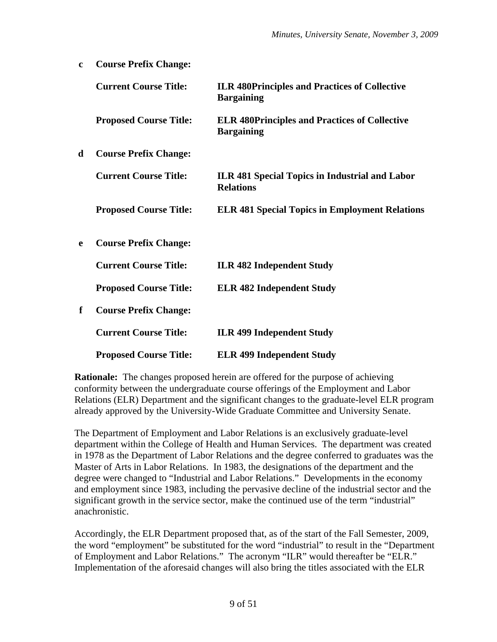| $\mathbf{c}$ | <b>Course Prefix Change:</b>  |                                                                           |
|--------------|-------------------------------|---------------------------------------------------------------------------|
|              | <b>Current Course Title:</b>  | <b>ILR 480Principles and Practices of Collective</b><br><b>Bargaining</b> |
|              | <b>Proposed Course Title:</b> | <b>ELR 480Principles and Practices of Collective</b><br><b>Bargaining</b> |
| d            | <b>Course Prefix Change:</b>  |                                                                           |
|              | <b>Current Course Title:</b>  | ILR 481 Special Topics in Industrial and Labor<br><b>Relations</b>        |
|              | <b>Proposed Course Title:</b> | <b>ELR 481 Special Topics in Employment Relations</b>                     |
| e            | <b>Course Prefix Change:</b>  |                                                                           |
|              | <b>Current Course Title:</b>  | <b>ILR 482 Independent Study</b>                                          |
|              | <b>Proposed Course Title:</b> | <b>ELR 482 Independent Study</b>                                          |
| f            | <b>Course Prefix Change:</b>  |                                                                           |
|              | <b>Current Course Title:</b>  | <b>ILR 499 Independent Study</b>                                          |
|              | <b>Proposed Course Title:</b> | <b>ELR 499 Independent Study</b>                                          |

**Rationale:** The changes proposed herein are offered for the purpose of achieving conformity between the undergraduate course offerings of the Employment and Labor Relations (ELR) Department and the significant changes to the graduate-level ELR program already approved by the University-Wide Graduate Committee and University Senate.

The Department of Employment and Labor Relations is an exclusively graduate-level department within the College of Health and Human Services. The department was created in 1978 as the Department of Labor Relations and the degree conferred to graduates was the Master of Arts in Labor Relations. In 1983, the designations of the department and the degree were changed to "Industrial and Labor Relations." Developments in the economy and employment since 1983, including the pervasive decline of the industrial sector and the significant growth in the service sector, make the continued use of the term "industrial" anachronistic.

Accordingly, the ELR Department proposed that, as of the start of the Fall Semester, 2009, the word "employment" be substituted for the word "industrial" to result in the "Department of Employment and Labor Relations." The acronym "ILR" would thereafter be "ELR." Implementation of the aforesaid changes will also bring the titles associated with the ELR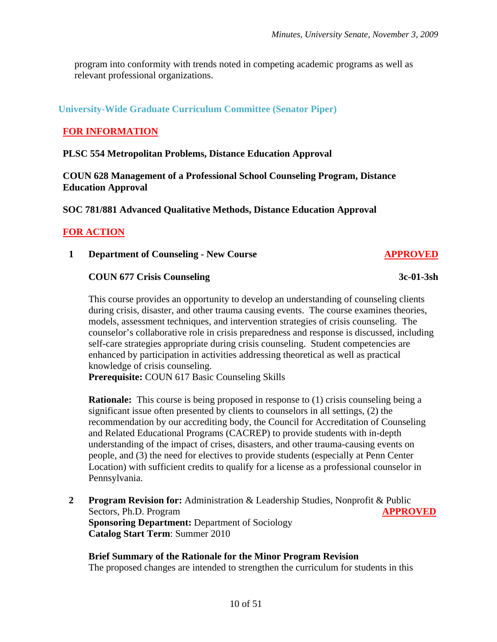program into conformity with trends noted in competing academic programs as well as relevant professional organizations.

## **University-Wide Graduate Curriculum Committee (Senator Piper)**

## **FOR INFORMATION**

### **PLSC 554 Metropolitan Problems, Distance Education Approval**

**COUN 628 Management of a Professional School Counseling Program, Distance Education Approval** 

**SOC 781/881 Advanced Qualitative Methods, Distance Education Approval** 

### **FOR ACTION**

**1 Department of Counseling - New Course APPROVED**

### **COUN 677 Crisis Counseling 3c-01-3sh**

This course provides an opportunity to develop an understanding of counseling clients during crisis, disaster, and other trauma causing events. The course examines theories, models, assessment techniques, and intervention strategies of crisis counseling. The counselor's collaborative role in crisis preparedness and response is discussed, including self-care strategies appropriate during crisis counseling. Student competencies are enhanced by participation in activities addressing theoretical as well as practical knowledge of crisis counseling.

**Prerequisite:** COUN 617 Basic Counseling Skills

**Rationale:** This course is being proposed in response to (1) crisis counseling being a significant issue often presented by clients to counselors in all settings, (2) the recommendation by our accrediting body, the Council for Accreditation of Counseling and Related Educational Programs (CACREP) to provide students with in-depth understanding of the impact of crises, disasters, and other trauma-causing events on people, and (3) the need for electives to provide students (especially at Penn Center Location) with sufficient credits to qualify for a license as a professional counselor in Pennsylvania.

**2 Program Revision for:** Administration & Leadership Studies, Nonprofit & Public Sectors, Ph.D. Program **APPROVED Sponsoring Department: Department of Sociology Catalog Start Term**: Summer 2010

**Brief Summary of the Rationale for the Minor Program Revision** The proposed changes are intended to strengthen the curriculum for students in this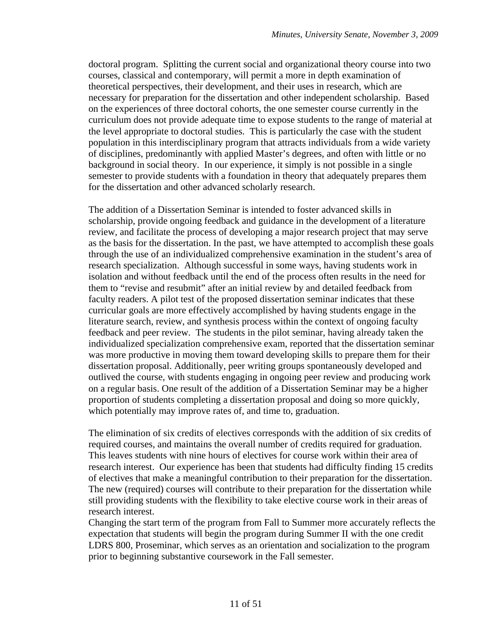doctoral program. Splitting the current social and organizational theory course into two courses, classical and contemporary, will permit a more in depth examination of theoretical perspectives, their development, and their uses in research, which are necessary for preparation for the dissertation and other independent scholarship. Based on the experiences of three doctoral cohorts, the one semester course currently in the curriculum does not provide adequate time to expose students to the range of material at the level appropriate to doctoral studies. This is particularly the case with the student population in this interdisciplinary program that attracts individuals from a wide variety of disciplines, predominantly with applied Master's degrees, and often with little or no background in social theory. In our experience, it simply is not possible in a single semester to provide students with a foundation in theory that adequately prepares them for the dissertation and other advanced scholarly research.

The addition of a Dissertation Seminar is intended to foster advanced skills in scholarship, provide ongoing feedback and guidance in the development of a literature review, and facilitate the process of developing a major research project that may serve as the basis for the dissertation. In the past, we have attempted to accomplish these goals through the use of an individualized comprehensive examination in the student's area of research specialization. Although successful in some ways, having students work in isolation and without feedback until the end of the process often results in the need for them to "revise and resubmit" after an initial review by and detailed feedback from faculty readers. A pilot test of the proposed dissertation seminar indicates that these curricular goals are more effectively accomplished by having students engage in the literature search, review, and synthesis process within the context of ongoing faculty feedback and peer review. The students in the pilot seminar, having already taken the individualized specialization comprehensive exam, reported that the dissertation seminar was more productive in moving them toward developing skills to prepare them for their dissertation proposal. Additionally, peer writing groups spontaneously developed and outlived the course, with students engaging in ongoing peer review and producing work on a regular basis. One result of the addition of a Dissertation Seminar may be a higher proportion of students completing a dissertation proposal and doing so more quickly, which potentially may improve rates of, and time to, graduation.

The elimination of six credits of electives corresponds with the addition of six credits of required courses, and maintains the overall number of credits required for graduation. This leaves students with nine hours of electives for course work within their area of research interest. Our experience has been that students had difficulty finding 15 credits of electives that make a meaningful contribution to their preparation for the dissertation. The new (required) courses will contribute to their preparation for the dissertation while still providing students with the flexibility to take elective course work in their areas of research interest.

Changing the start term of the program from Fall to Summer more accurately reflects the expectation that students will begin the program during Summer II with the one credit LDRS 800, Proseminar, which serves as an orientation and socialization to the program prior to beginning substantive coursework in the Fall semester.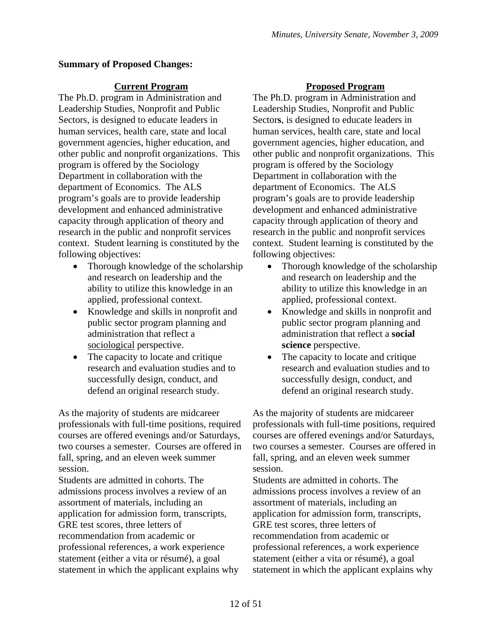## **Summary of Proposed Changes:**

The Ph.D. program in Administration and Leadership Studies, Nonprofit and Public Sectors, is designed to educate leaders in human services, health care, state and local government agencies, higher education, and other public and nonprofit organizations. This program is offered by the Sociology Department in collaboration with the department of Economics. The ALS program's goals are to provide leadership development and enhanced administrative capacity through application of theory and research in the public and nonprofit services context. Student learning is constituted by the following objectives:

- Thorough knowledge of the scholarship and research on leadership and the ability to utilize this knowledge in an applied, professional context.
- Knowledge and skills in nonprofit and public sector program planning and administration that reflect a sociological perspective.
- The capacity to locate and critique research and evaluation studies and to successfully design, conduct, and defend an original research study.

As the majority of students are midcareer professionals with full-time positions, required courses are offered evenings and/or Saturdays, two courses a semester. Courses are offered in fall, spring, and an eleven week summer session.

Students are admitted in cohorts. The admissions process involves a review of an assortment of materials, including an application for admission form, transcripts, GRE test scores, three letters of recommendation from academic or professional references, a work experience statement (either a vita or résumé), a goal statement in which the applicant explains why

## **Current Program Proposed Program**

The Ph.D. program in Administration and Leadership Studies, Nonprofit and Public Sector**s**, is designed to educate leaders in human services, health care, state and local government agencies, higher education, and other public and nonprofit organizations. This program is offered by the Sociology Department in collaboration with the department of Economics. The ALS program's goals are to provide leadership development and enhanced administrative capacity through application of theory and research in the public and nonprofit services context. Student learning is constituted by the following objectives:

- Thorough knowledge of the scholarship and research on leadership and the ability to utilize this knowledge in an applied, professional context.
- Knowledge and skills in nonprofit and public sector program planning and administration that reflect a **social science** perspective.
- The capacity to locate and critique research and evaluation studies and to successfully design, conduct, and defend an original research study.

As the majority of students are midcareer professionals with full-time positions, required courses are offered evenings and/or Saturdays, two courses a semester. Courses are offered in fall, spring, and an eleven week summer session.

Students are admitted in cohorts. The admissions process involves a review of an assortment of materials, including an application for admission form, transcripts, GRE test scores, three letters of recommendation from academic or professional references, a work experience statement (either a vita or résumé), a goal statement in which the applicant explains why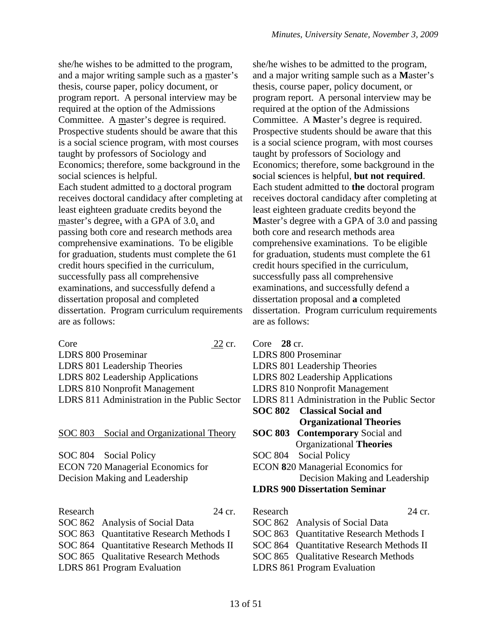she/he wishes to be admitted to the program, and a major writing sample such as a master's thesis, course paper, policy document, or program report. A personal interview may be required at the option of the Admissions Committee. A master's degree is required. Prospective students should be aware that this is a social science program, with most courses taught by professors of Sociology and Economics; therefore, some background in the social sciences is helpful. Each student admitted to a doctoral program receives doctoral candidacy after completing at least eighteen graduate credits beyond the master's degree, with a GPA of 3.0, and passing both core and research methods area comprehensive examinations. To be eligible for graduation, students must complete the 61

credit hours specified in the curriculum, successfully pass all comprehensive examinations, and successfully defend a dissertation proposal and completed dissertation. Program curriculum requirements are as follows:

Core 22 cr. LDRS 800 Proseminar LDRS 801 Leadership Theories LDRS 802 Leadership Applications LDRS 810 Nonprofit Management LDRS 811 Administration in the Public Sector

SOC 803 Social and Organizational Theory

SOC 804 Social Policy ECON 720 Managerial Economics for Decision Making and Leadership

| Research | 24 cr.                                   |
|----------|------------------------------------------|
|          | SOC 862 Analysis of Social Data          |
|          | SOC 863 Quantitative Research Methods I  |
|          | SOC 864 Quantitative Research Methods II |
|          | SOC 865 Qualitative Research Methods     |
|          | <b>LDRS 861 Program Evaluation</b>       |

she/he wishes to be admitted to the program, and a major writing sample such as a **M**aster's thesis, course paper, policy document, or program report. A personal interview may be required at the option of the Admissions Committee. A **M**aster's degree is required. Prospective students should be aware that this is a social science program, with most courses taught by professors of Sociology and Economics; therefore, some background in the **s**ocial **s**ciences is helpful, **but not required**. Each student admitted to **the** doctoral program receives doctoral candidacy after completing at least eighteen graduate credits beyond the **M**aster's degree with a GPA of 3.0 and passing both core and research methods area comprehensive examinations. To be eligible for graduation, students must complete the 61 credit hours specified in the curriculum, successfully pass all comprehensive examinations, and successfully defend a dissertation proposal and **a** completed dissertation. Program curriculum requirements are as follows:

| Core $28 \text{ cr}$ .<br>LDRS 800 Proseminar<br>LDRS 801 Leadership Theories |
|-------------------------------------------------------------------------------|
| LDRS 802 Leadership Applications                                              |
| LDRS 810 Nonprofit Management                                                 |
| LDRS 811 Administration in the Public Sector                                  |
| <b>SOC 802</b> Classical Social and                                           |
| <b>Organizational Theories</b>                                                |
| <b>SOC 803 Contemporary Social and</b>                                        |
| Organizational Theories                                                       |
| SOC 804 Social Policy                                                         |
| ECON 820 Managerial Economics for                                             |
| Decision Making and Leadership                                                |
| <b>LDRS 900 Dissertation Seminar</b>                                          |

Research 24 cr. SOC 862 Analysis of Social Data SOC 863 Quantitative Research Methods I SOC 864 Ouantitative Research Methods II SOC 865 Qualitative Research Methods LDRS 861 Program Evaluation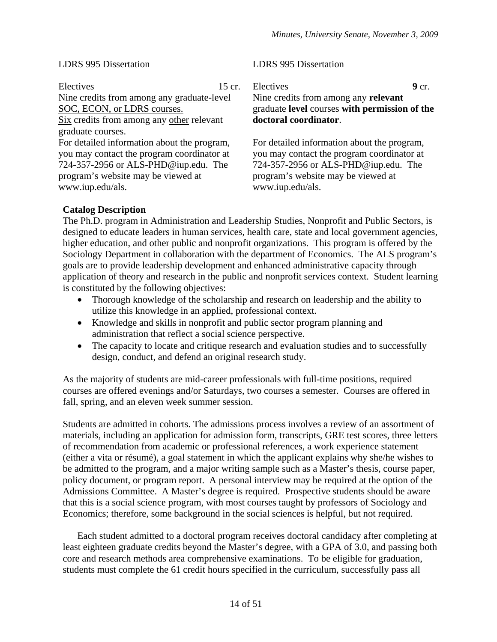### LDRS 995 Dissertation

### LDRS 995 Dissertation

Electives 15 cr. Nine credits from among any graduate-level SOC, ECON, or LDRS courses. Six credits from among any other relevant graduate courses. For detailed information about the program, you may contact the program coordinator at 724-357-2956 or ALS-PHD@iup.edu. The program's website may be viewed at www.iup.edu/als. Electives 9 cr. Nine credits from among any **relevant** graduate **level** courses **with permission of the doctoral coordinator**. For detailed information about the program, you may contact the program coordinator at 724-357-2956 or ALS-PHD@iup.edu. The program's website may be viewed at www.iup.edu/als.

## **Catalog Description**

The Ph.D. program in Administration and Leadership Studies, Nonprofit and Public Sectors, is designed to educate leaders in human services, health care, state and local government agencies, higher education, and other public and nonprofit organizations. This program is offered by the Sociology Department in collaboration with the department of Economics. The ALS program's goals are to provide leadership development and enhanced administrative capacity through application of theory and research in the public and nonprofit services context. Student learning is constituted by the following objectives:

- Thorough knowledge of the scholarship and research on leadership and the ability to utilize this knowledge in an applied, professional context.
- Knowledge and skills in nonprofit and public sector program planning and administration that reflect a social science perspective.
- The capacity to locate and critique research and evaluation studies and to successfully design, conduct, and defend an original research study.

As the majority of students are mid-career professionals with full-time positions, required courses are offered evenings and/or Saturdays, two courses a semester. Courses are offered in fall, spring, and an eleven week summer session.

Students are admitted in cohorts. The admissions process involves a review of an assortment of materials, including an application for admission form, transcripts, GRE test scores, three letters of recommendation from academic or professional references, a work experience statement (either a vita or résumé), a goal statement in which the applicant explains why she/he wishes to be admitted to the program, and a major writing sample such as a Master's thesis, course paper, policy document, or program report. A personal interview may be required at the option of the Admissions Committee. A Master's degree is required. Prospective students should be aware that this is a social science program, with most courses taught by professors of Sociology and Economics; therefore, some background in the social sciences is helpful, but not required.

Each student admitted to a doctoral program receives doctoral candidacy after completing at least eighteen graduate credits beyond the Master's degree, with a GPA of 3.0, and passing both core and research methods area comprehensive examinations. To be eligible for graduation, students must complete the 61 credit hours specified in the curriculum, successfully pass all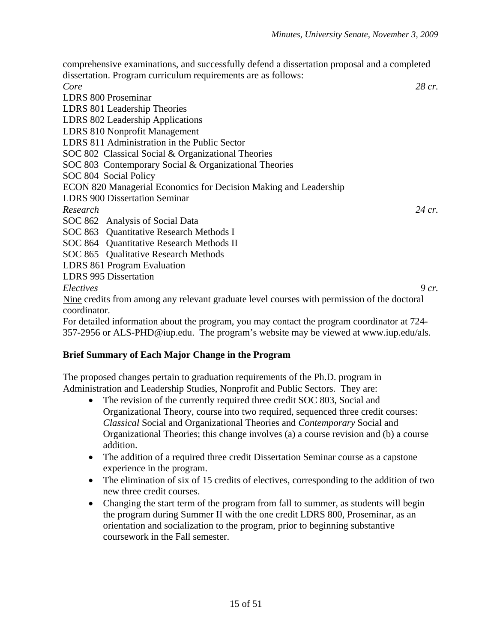comprehensive examinations, and successfully defend a dissertation proposal and a completed dissertation. Program curriculum requirements are as follows: *Core 28 cr.* LDRS 800 Proseminar LDRS 801 Leadership Theories LDRS 802 Leadership Applications LDRS 810 Nonprofit Management LDRS 811 Administration in the Public Sector SOC 802 Classical Social & Organizational Theories SOC 803 Contemporary Social & Organizational Theories SOC 804 Social Policy ECON 820 Managerial Economics for Decision Making and Leadership LDRS 900 Dissertation Seminar *Research 24 cr.* SOC 862 Analysis of Social Data SOC 863 Quantitative Research Methods I SOC 864 Ouantitative Research Methods II SOC 865 Qualitative Research Methods LDRS 861 Program Evaluation LDRS 995 Dissertation *Electives 9 cr.* Nine credits from among any relevant graduate level courses with permission of the doctoral coordinator.

For detailed information about the program, you may contact the program coordinator at 724- 357-2956 or ALS-PHD@iup.edu. The program's website may be viewed at www.iup.edu/als.

## **Brief Summary of Each Major Change in the Program**

The proposed changes pertain to graduation requirements of the Ph.D. program in Administration and Leadership Studies, Nonprofit and Public Sectors. They are:

- The revision of the currently required three credit SOC 803, Social and Organizational Theory, course into two required, sequenced three credit courses: *Classical* Social and Organizational Theories and *Contemporary* Social and Organizational Theories; this change involves (a) a course revision and (b) a course addition.
- The addition of a required three credit Dissertation Seminar course as a capstone experience in the program.
- The elimination of six of 15 credits of electives, corresponding to the addition of two new three credit courses.
- Changing the start term of the program from fall to summer, as students will begin the program during Summer II with the one credit LDRS 800, Proseminar, as an orientation and socialization to the program, prior to beginning substantive coursework in the Fall semester.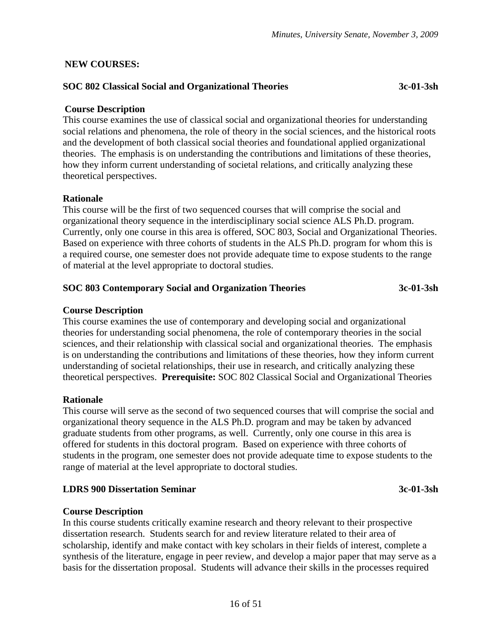## **NEW COURSES:**

## **SOC 802 Classical Social and Organizational Theories 3c-01-3sh**

### **Course Description**

This course examines the use of classical social and organizational theories for understanding social relations and phenomena, the role of theory in the social sciences, and the historical roots and the development of both classical social theories and foundational applied organizational theories. The emphasis is on understanding the contributions and limitations of these theories, how they inform current understanding of societal relations, and critically analyzing these theoretical perspectives.

### **Rationale**

This course will be the first of two sequenced courses that will comprise the social and organizational theory sequence in the interdisciplinary social science ALS Ph.D. program. Currently, only one course in this area is offered, SOC 803, Social and Organizational Theories. Based on experience with three cohorts of students in the ALS Ph.D. program for whom this is a required course, one semester does not provide adequate time to expose students to the range of material at the level appropriate to doctoral studies.

### **SOC 803 Contemporary Social and Organization Theories 3c-01-3sh**

### **Course Description**

This course examines the use of contemporary and developing social and organizational theories for understanding social phenomena, the role of contemporary theories in the social sciences, and their relationship with classical social and organizational theories. The emphasis is on understanding the contributions and limitations of these theories, how they inform current understanding of societal relationships, their use in research, and critically analyzing these theoretical perspectives. **Prerequisite:** SOC 802 Classical Social and Organizational Theories

### **Rationale**

This course will serve as the second of two sequenced courses that will comprise the social and organizational theory sequence in the ALS Ph.D. program and may be taken by advanced graduate students from other programs, as well. Currently, only one course in this area is offered for students in this doctoral program. Based on experience with three cohorts of students in the program, one semester does not provide adequate time to expose students to the range of material at the level appropriate to doctoral studies.

### **LDRS 900 Dissertation Seminar 3c-01-3sh**

### **Course Description**

In this course students critically examine research and theory relevant to their prospective dissertation research. Students search for and review literature related to their area of scholarship, identify and make contact with key scholars in their fields of interest, complete a synthesis of the literature, engage in peer review, and develop a major paper that may serve as a basis for the dissertation proposal. Students will advance their skills in the processes required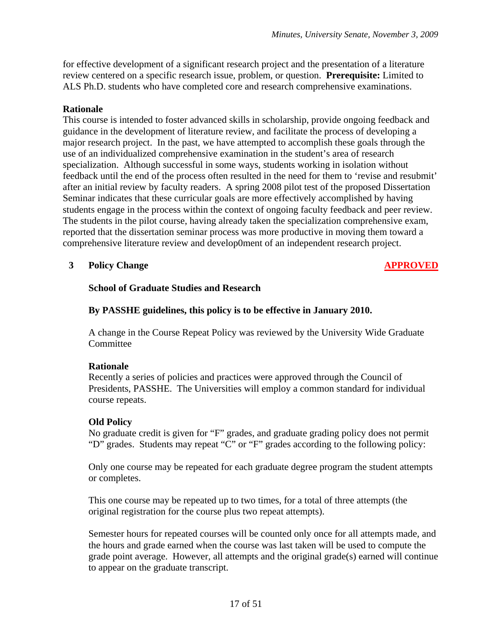for effective development of a significant research project and the presentation of a literature review centered on a specific research issue, problem, or question. **Prerequisite:** Limited to ALS Ph.D. students who have completed core and research comprehensive examinations.

## **Rationale**

This course is intended to foster advanced skills in scholarship, provide ongoing feedback and guidance in the development of literature review, and facilitate the process of developing a major research project. In the past, we have attempted to accomplish these goals through the use of an individualized comprehensive examination in the student's area of research specialization. Although successful in some ways, students working in isolation without feedback until the end of the process often resulted in the need for them to 'revise and resubmit' after an initial review by faculty readers. A spring 2008 pilot test of the proposed Dissertation Seminar indicates that these curricular goals are more effectively accomplished by having students engage in the process within the context of ongoing faculty feedback and peer review. The students in the pilot course, having already taken the specialization comprehensive exam, reported that the dissertation seminar process was more productive in moving them toward a comprehensive literature review and develop0ment of an independent research project.

## **3** Policy Change **APPROVED**

### **School of Graduate Studies and Research**

## **By PASSHE guidelines, this policy is to be effective in January 2010.**

A change in the Course Repeat Policy was reviewed by the University Wide Graduate Committee

### **Rationale**

Recently a series of policies and practices were approved through the Council of Presidents, PASSHE. The Universities will employ a common standard for individual course repeats.

### **Old Policy**

No graduate credit is given for "F" grades, and graduate grading policy does not permit "D" grades. Students may repeat "C" or "F" grades according to the following policy:

Only one course may be repeated for each graduate degree program the student attempts or completes.

This one course may be repeated up to two times, for a total of three attempts (the original registration for the course plus two repeat attempts).

Semester hours for repeated courses will be counted only once for all attempts made, and the hours and grade earned when the course was last taken will be used to compute the grade point average. However, all attempts and the original grade(s) earned will continue to appear on the graduate transcript.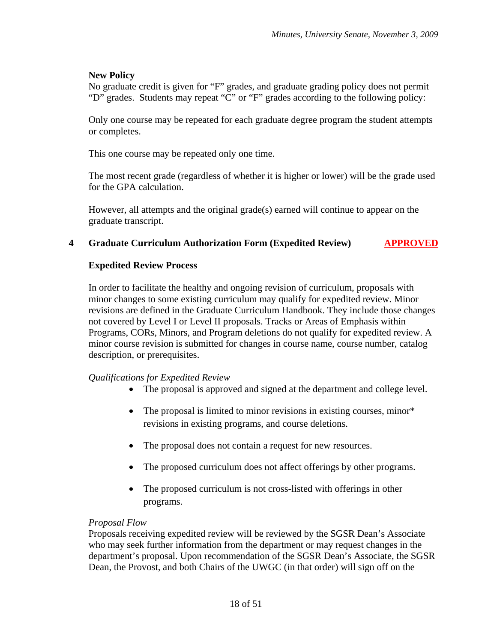## **New Policy**

No graduate credit is given for "F" grades, and graduate grading policy does not permit "D" grades. Students may repeat "C" or "F" grades according to the following policy:

Only one course may be repeated for each graduate degree program the student attempts or completes.

This one course may be repeated only one time.

The most recent grade (regardless of whether it is higher or lower) will be the grade used for the GPA calculation.

However, all attempts and the original grade(s) earned will continue to appear on the graduate transcript.

## **4 Graduate Curriculum Authorization Form (Expedited Review) APPROVED**

### **Expedited Review Process**

In order to facilitate the healthy and ongoing revision of curriculum, proposals with minor changes to some existing curriculum may qualify for expedited review. Minor revisions are defined in the Graduate Curriculum Handbook. They include those changes not covered by Level I or Level II proposals. Tracks or Areas of Emphasis within Programs, CORs, Minors, and Program deletions do not qualify for expedited review. A minor course revision is submitted for changes in course name, course number, catalog description, or prerequisites.

## *Qualifications for Expedited Review*

- The proposal is approved and signed at the department and college level.
- The proposal is limited to minor revisions in existing courses, minor\* revisions in existing programs, and course deletions.
- The proposal does not contain a request for new resources.
- The proposed curriculum does not affect offerings by other programs.
- The proposed curriculum is not cross-listed with offerings in other programs.

### *Proposal Flow*

Proposals receiving expedited review will be reviewed by the SGSR Dean's Associate who may seek further information from the department or may request changes in the department's proposal. Upon recommendation of the SGSR Dean's Associate, the SGSR Dean, the Provost, and both Chairs of the UWGC (in that order) will sign off on the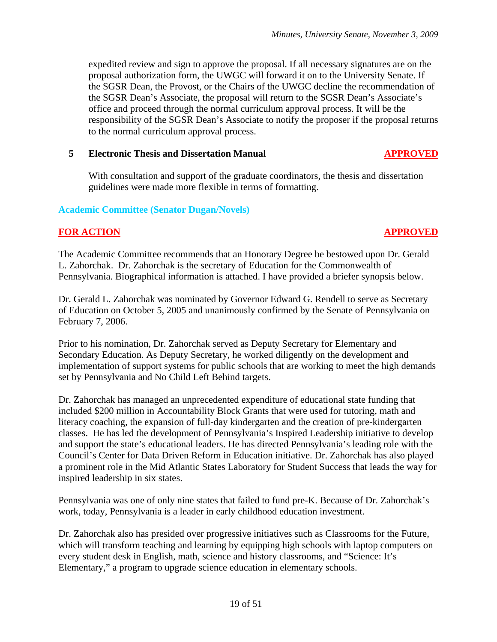expedited review and sign to approve the proposal. If all necessary signatures are on the proposal authorization form, the UWGC will forward it on to the University Senate. If the SGSR Dean, the Provost, or the Chairs of the UWGC decline the recommendation of the SGSR Dean's Associate, the proposal will return to the SGSR Dean's Associate's office and proceed through the normal curriculum approval process. It will be the responsibility of the SGSR Dean's Associate to notify the proposer if the proposal returns to the normal curriculum approval process.

### **5 Electronic Thesis and Dissertation Manual APPROVED**

With consultation and support of the graduate coordinators, the thesis and dissertation guidelines were made more flexible in terms of formatting.

### **Academic Committee (Senator Dugan/Novels)**

## **FOR ACTION APPROVED**

The Academic Committee recommends that an Honorary Degree be bestowed upon Dr. Gerald L. Zahorchak. Dr. Zahorchak is the secretary of Education for the Commonwealth of Pennsylvania. Biographical information is attached. I have provided a briefer synopsis below.

Dr. Gerald L. Zahorchak was nominated by Governor Edward G. Rendell to serve as Secretary of Education on October 5, 2005 and unanimously confirmed by the Senate of Pennsylvania on February 7, 2006.

Prior to his nomination, Dr. Zahorchak served as Deputy Secretary for Elementary and Secondary Education. As Deputy Secretary, he worked diligently on the development and implementation of support systems for public schools that are working to meet the high demands set by Pennsylvania and No Child Left Behind targets.

Dr. Zahorchak has managed an unprecedented expenditure of educational state funding that included \$200 million in Accountability Block Grants that were used for tutoring, math and literacy coaching, the expansion of full-day kindergarten and the creation of pre-kindergarten classes. He has led the development of Pennsylvania's Inspired Leadership initiative to develop and support the state's educational leaders. He has directed Pennsylvania's leading role with the Council's Center for Data Driven Reform in Education initiative. Dr. Zahorchak has also played a prominent role in the Mid Atlantic States Laboratory for Student Success that leads the way for inspired leadership in six states.

Pennsylvania was one of only nine states that failed to fund pre-K. Because of Dr. Zahorchak's work, today, Pennsylvania is a leader in early childhood education investment.

Dr. Zahorchak also has presided over progressive initiatives such as Classrooms for the Future, which will transform teaching and learning by equipping high schools with laptop computers on every student desk in English, math, science and history classrooms, and "Science: It's Elementary," a program to upgrade science education in elementary schools.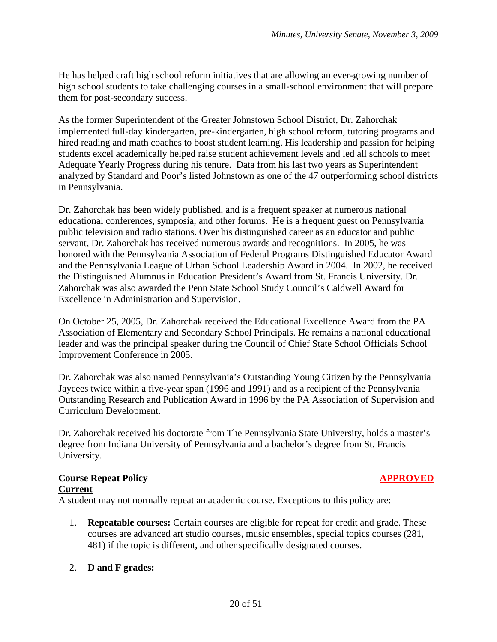He has helped craft high school reform initiatives that are allowing an ever-growing number of high school students to take challenging courses in a small-school environment that will prepare them for post-secondary success.

As the former Superintendent of the Greater Johnstown School District, Dr. Zahorchak implemented full-day kindergarten, pre-kindergarten, high school reform, tutoring programs and hired reading and math coaches to boost student learning. His leadership and passion for helping students excel academically helped raise student achievement levels and led all schools to meet Adequate Yearly Progress during his tenure. Data from his last two years as Superintendent analyzed by Standard and Poor's listed Johnstown as one of the 47 outperforming school districts in Pennsylvania.

Dr. Zahorchak has been widely published, and is a frequent speaker at numerous national educational conferences, symposia, and other forums. He is a frequent guest on Pennsylvania public television and radio stations. Over his distinguished career as an educator and public servant, Dr. Zahorchak has received numerous awards and recognitions. In 2005, he was honored with the Pennsylvania Association of Federal Programs Distinguished Educator Award and the Pennsylvania League of Urban School Leadership Award in 2004. In 2002, he received the Distinguished Alumnus in Education President's Award from St. Francis University. Dr. Zahorchak was also awarded the Penn State School Study Council's Caldwell Award for Excellence in Administration and Supervision.

On October 25, 2005, Dr. Zahorchak received the Educational Excellence Award from the PA Association of Elementary and Secondary School Principals. He remains a national educational leader and was the principal speaker during the Council of Chief State School Officials School Improvement Conference in 2005.

Dr. Zahorchak was also named Pennsylvania's Outstanding Young Citizen by the Pennsylvania Jaycees twice within a five-year span (1996 and 1991) and as a recipient of the Pennsylvania Outstanding Research and Publication Award in 1996 by the PA Association of Supervision and Curriculum Development.

Dr. Zahorchak received his doctorate from The Pennsylvania State University, holds a master's degree from Indiana University of Pennsylvania and a bachelor's degree from St. Francis University.

### **Course Repeat Policy APPROVED Current**

A student may not normally repeat an academic course. Exceptions to this policy are:

1. **Repeatable courses:** Certain courses are eligible for repeat for credit and grade. These courses are advanced art studio courses, music ensembles, special topics courses (281, 481) if the topic is different, and other specifically designated courses.

## 2. **D and F grades:**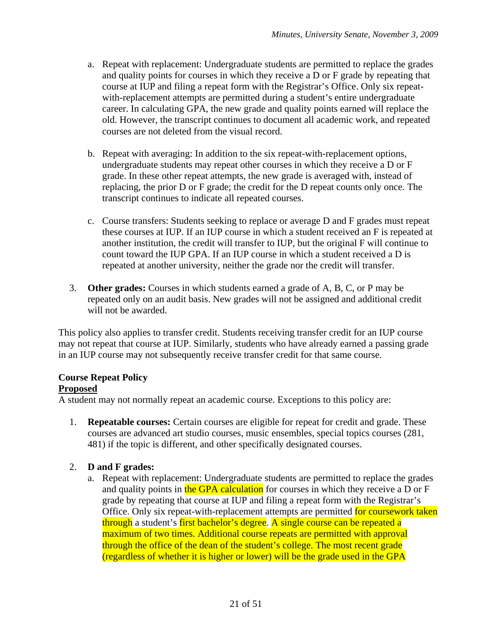- a. Repeat with replacement: Undergraduate students are permitted to replace the grades and quality points for courses in which they receive a D or F grade by repeating that course at IUP and filing a repeat form with the Registrar's Office. Only six repeatwith-replacement attempts are permitted during a student's entire undergraduate career. In calculating GPA, the new grade and quality points earned will replace the old. However, the transcript continues to document all academic work, and repeated courses are not deleted from the visual record.
- b. Repeat with averaging: In addition to the six repeat-with-replacement options, undergraduate students may repeat other courses in which they receive a D or F grade. In these other repeat attempts, the new grade is averaged with, instead of replacing, the prior D or F grade; the credit for the D repeat counts only once. The transcript continues to indicate all repeated courses.
- c. Course transfers: Students seeking to replace or average D and F grades must repeat these courses at IUP. If an IUP course in which a student received an F is repeated at another institution, the credit will transfer to IUP, but the original F will continue to count toward the IUP GPA. If an IUP course in which a student received a D is repeated at another university, neither the grade nor the credit will transfer.
- 3. **Other grades:** Courses in which students earned a grade of A, B, C, or P may be repeated only on an audit basis. New grades will not be assigned and additional credit will not be awarded.

This policy also applies to transfer credit. Students receiving transfer credit for an IUP course may not repeat that course at IUP. Similarly, students who have already earned a passing grade in an IUP course may not subsequently receive transfer credit for that same course.

## **Course Repeat Policy**

## **Proposed**

A student may not normally repeat an academic course. Exceptions to this policy are:

1. **Repeatable courses:** Certain courses are eligible for repeat for credit and grade. These courses are advanced art studio courses, music ensembles, special topics courses (281, 481) if the topic is different, and other specifically designated courses.

## 2. **D and F grades:**

a. Repeat with replacement: Undergraduate students are permitted to replace the grades and quality points in the GPA calculation for courses in which they receive a D or F grade by repeating that course at IUP and filing a repeat form with the Registrar's Office. Only six repeat-with-replacement attempts are permitted for coursework taken through a student's first bachelor's degree. A single course can be repeated a maximum of two times. Additional course repeats are permitted with approval through the office of the dean of the student's college. The most recent grade (regardless of whether it is higher or lower) will be the grade used in the GPA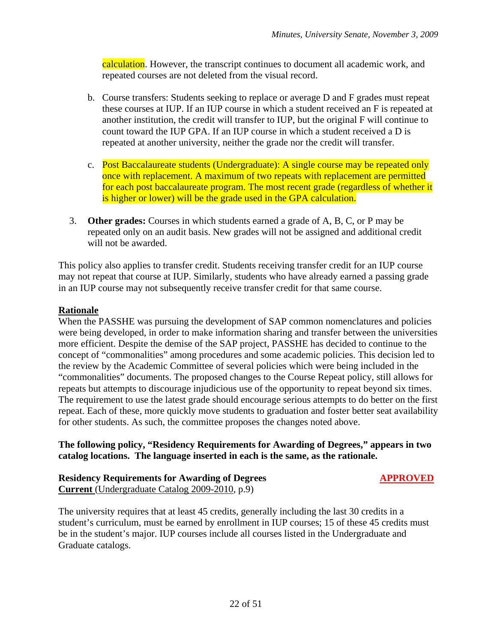calculation. However, the transcript continues to document all academic work, and repeated courses are not deleted from the visual record.

- b. Course transfers: Students seeking to replace or average D and F grades must repeat these courses at IUP. If an IUP course in which a student received an F is repeated at another institution, the credit will transfer to IUP, but the original F will continue to count toward the IUP GPA. If an IUP course in which a student received a D is repeated at another university, neither the grade nor the credit will transfer.
- c. Post Baccalaureate students (Undergraduate): A single course may be repeated only once with replacement. A maximum of two repeats with replacement are permitted for each post baccalaureate program. The most recent grade (regardless of whether it is higher or lower) will be the grade used in the GPA calculation.
- 3. **Other grades:** Courses in which students earned a grade of A, B, C, or P may be repeated only on an audit basis. New grades will not be assigned and additional credit will not be awarded.

This policy also applies to transfer credit. Students receiving transfer credit for an IUP course may not repeat that course at IUP. Similarly, students who have already earned a passing grade in an IUP course may not subsequently receive transfer credit for that same course.

## **Rationale**

When the PASSHE was pursuing the development of SAP common nomenclatures and policies were being developed, in order to make information sharing and transfer between the universities more efficient. Despite the demise of the SAP project, PASSHE has decided to continue to the concept of "commonalities" among procedures and some academic policies. This decision led to the review by the Academic Committee of several policies which were being included in the "commonalities" documents. The proposed changes to the Course Repeat policy, still allows for repeats but attempts to discourage injudicious use of the opportunity to repeat beyond six times. The requirement to use the latest grade should encourage serious attempts to do better on the first repeat. Each of these, more quickly move students to graduation and foster better seat availability for other students. As such, the committee proposes the changes noted above.

**The following policy, "Residency Requirements for Awarding of Degrees," appears in two catalog locations. The language inserted in each is the same, as the rationale.** 

### **Residency Requirements for Awarding of Degrees APPROVED Current** (Undergraduate Catalog 2009-2010, p.9)

The university requires that at least 45 credits, generally including the last 30 credits in a student's curriculum, must be earned by enrollment in IUP courses; 15 of these 45 credits must be in the student's major. IUP courses include all courses listed in the Undergraduate and Graduate catalogs.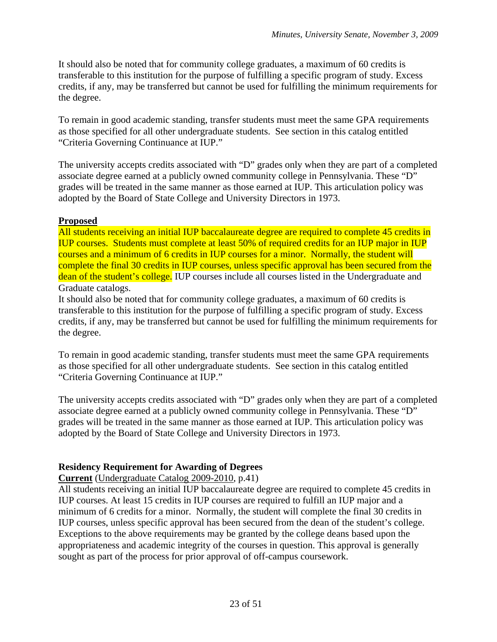It should also be noted that for community college graduates, a maximum of 60 credits is transferable to this institution for the purpose of fulfilling a specific program of study. Excess credits, if any, may be transferred but cannot be used for fulfilling the minimum requirements for the degree.

To remain in good academic standing, transfer students must meet the same GPA requirements as those specified for all other undergraduate students. See section in this catalog entitled "Criteria Governing Continuance at IUP."

The university accepts credits associated with "D" grades only when they are part of a completed associate degree earned at a publicly owned community college in Pennsylvania. These "D" grades will be treated in the same manner as those earned at IUP. This articulation policy was adopted by the Board of State College and University Directors in 1973.

## **Proposed**

All students receiving an initial IUP baccalaureate degree are required to complete 45 credits in IUP courses. Students must complete at least 50% of required credits for an IUP major in IUP courses and a minimum of 6 credits in IUP courses for a minor. Normally, the student will complete the final 30 credits in IUP courses, unless specific approval has been secured from the dean of the student's college. IUP courses include all courses listed in the Undergraduate and Graduate catalogs.

It should also be noted that for community college graduates, a maximum of 60 credits is transferable to this institution for the purpose of fulfilling a specific program of study. Excess credits, if any, may be transferred but cannot be used for fulfilling the minimum requirements for the degree.

To remain in good academic standing, transfer students must meet the same GPA requirements as those specified for all other undergraduate students. See section in this catalog entitled "Criteria Governing Continuance at IUP."

The university accepts credits associated with "D" grades only when they are part of a completed associate degree earned at a publicly owned community college in Pennsylvania. These "D" grades will be treated in the same manner as those earned at IUP. This articulation policy was adopted by the Board of State College and University Directors in 1973.

## **Residency Requirement for Awarding of Degrees**

**Current** (Undergraduate Catalog 2009-2010, p.41)

All students receiving an initial IUP baccalaureate degree are required to complete 45 credits in IUP courses. At least 15 credits in IUP courses are required to fulfill an IUP major and a minimum of 6 credits for a minor. Normally, the student will complete the final 30 credits in IUP courses, unless specific approval has been secured from the dean of the student's college. Exceptions to the above requirements may be granted by the college deans based upon the appropriateness and academic integrity of the courses in question. This approval is generally sought as part of the process for prior approval of off-campus coursework.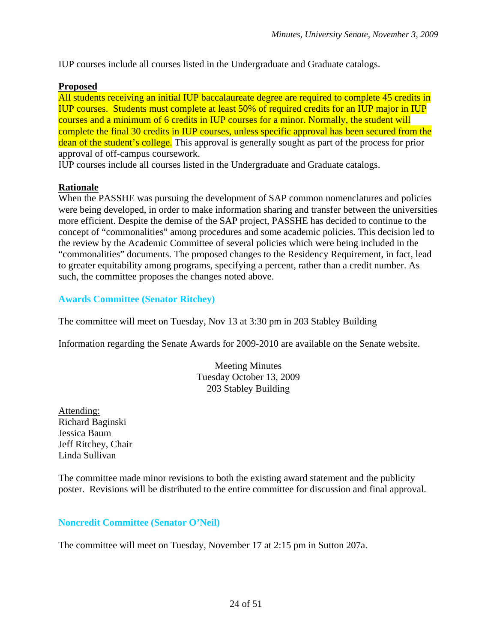IUP courses include all courses listed in the Undergraduate and Graduate catalogs.

### **Proposed**

All students receiving an initial IUP baccalaureate degree are required to complete 45 credits in IUP courses. Students must complete at least 50% of required credits for an IUP major in IUP courses and a minimum of 6 credits in IUP courses for a minor. Normally, the student will complete the final 30 credits in IUP courses, unless specific approval has been secured from the dean of the student's college. This approval is generally sought as part of the process for prior approval of off-campus coursework.

IUP courses include all courses listed in the Undergraduate and Graduate catalogs.

## **Rationale**

When the PASSHE was pursuing the development of SAP common nomenclatures and policies were being developed, in order to make information sharing and transfer between the universities more efficient. Despite the demise of the SAP project, PASSHE has decided to continue to the concept of "commonalities" among procedures and some academic policies. This decision led to the review by the Academic Committee of several policies which were being included in the "commonalities" documents. The proposed changes to the Residency Requirement, in fact, lead to greater equitability among programs, specifying a percent, rather than a credit number. As such, the committee proposes the changes noted above.

## **Awards Committee (Senator Ritchey)**

The committee will meet on Tuesday, Nov 13 at 3:30 pm in 203 Stabley Building

Information regarding the Senate Awards for 2009-2010 are available on the Senate website.

Meeting Minutes Tuesday October 13, 2009 203 Stabley Building

Attending: Richard Baginski Jessica Baum Jeff Ritchey, Chair Linda Sullivan

The committee made minor revisions to both the existing award statement and the publicity poster. Revisions will be distributed to the entire committee for discussion and final approval.

**Noncredit Committee (Senator O'Neil)** 

The committee will meet on Tuesday, November 17 at 2:15 pm in Sutton 207a.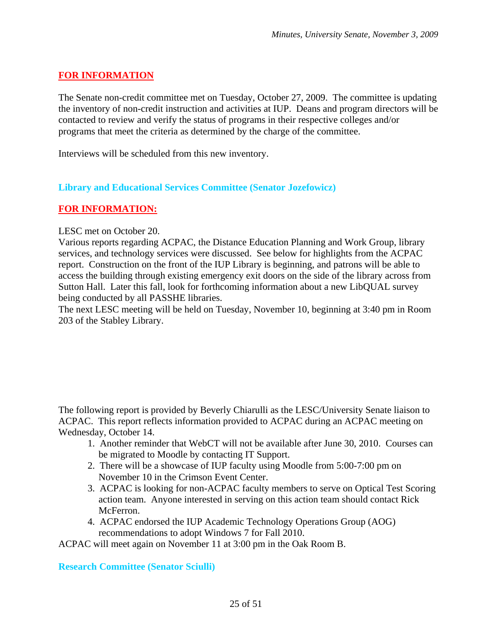## **FOR INFORMATION**

The Senate non-credit committee met on Tuesday, October 27, 2009. The committee is updating the inventory of non-credit instruction and activities at IUP. Deans and program directors will be contacted to review and verify the status of programs in their respective colleges and/or programs that meet the criteria as determined by the charge of the committee.

Interviews will be scheduled from this new inventory.

### **Library and Educational Services Committee (Senator Jozefowicz)**

## **FOR INFORMATION:**

LESC met on October 20.

Various reports regarding ACPAC, the Distance Education Planning and Work Group, library services, and technology services were discussed. See below for highlights from the ACPAC report. Construction on the front of the IUP Library is beginning, and patrons will be able to access the building through existing emergency exit doors on the side of the library across from Sutton Hall. Later this fall, look for forthcoming information about a new LibQUAL survey being conducted by all PASSHE libraries.

The next LESC meeting will be held on Tuesday, November 10, beginning at 3:40 pm in Room 203 of the Stabley Library.

The following report is provided by Beverly Chiarulli as the LESC/University Senate liaison to ACPAC. This report reflects information provided to ACPAC during an ACPAC meeting on Wednesday, October 14.

- 1. Another reminder that WebCT will not be available after June 30, 2010. Courses can be migrated to Moodle by contacting IT Support.
- 2. There will be a showcase of IUP faculty using Moodle from 5:00-7:00 pm on November 10 in the Crimson Event Center.
- 3. ACPAC is looking for non-ACPAC faculty members to serve on Optical Test Scoring action team. Anyone interested in serving on this action team should contact Rick McFerron.
- 4. ACPAC endorsed the IUP Academic Technology Operations Group (AOG) recommendations to adopt Windows 7 for Fall 2010.

ACPAC will meet again on November 11 at 3:00 pm in the Oak Room B.

**Research Committee (Senator Sciulli)**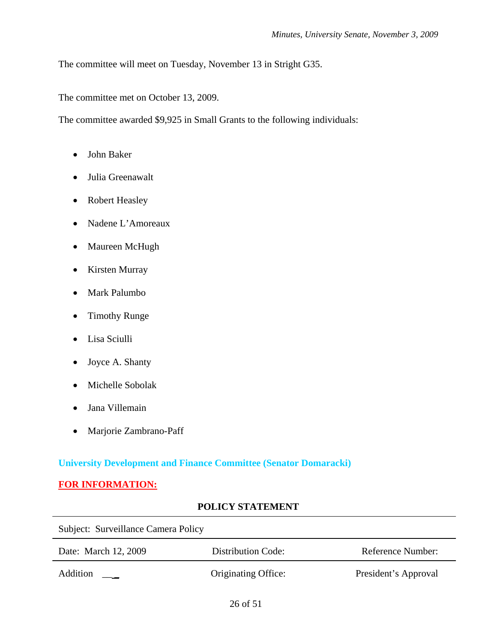The committee will meet on Tuesday, November 13 in Stright G35.

The committee met on October 13, 2009.

The committee awarded \$9,925 in Small Grants to the following individuals:

- John Baker
- Julia Greenawalt
- Robert Heasley
- Nadene L'Amoreaux
- Maureen McHugh
- Kirsten Murray
- Mark Palumbo
- Timothy Runge
- Lisa Sciulli
- Joyce A. Shanty
- Michelle Sobolak
- Jana Villemain
- Marjorie Zambrano-Paff

## **University Development and Finance Committee (Senator Domaracki)**

## **FOR INFORMATION:**

## **POLICY STATEMENT**

| Subject: Surveillance Camera Policy |                     |                      |
|-------------------------------------|---------------------|----------------------|
| Date: March 12, 2009                | Distribution Code:  | Reference Number:    |
| <b>Addition</b>                     | Originating Office: | President's Approval |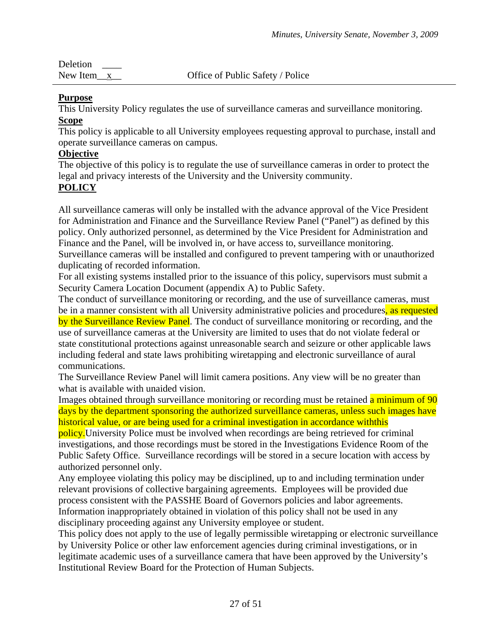| Deletion        |                                  |
|-----------------|----------------------------------|
| New Item $_{x}$ | Office of Public Safety / Police |

## **Purpose**

This University Policy regulates the use of surveillance cameras and surveillance monitoring. **Scope**

This policy is applicable to all University employees requesting approval to purchase, install and operate surveillance cameras on campus.

## **Objective**

The objective of this policy is to regulate the use of surveillance cameras in order to protect the legal and privacy interests of the University and the University community.

# **POLICY**

All surveillance cameras will only be installed with the advance approval of the Vice President for Administration and Finance and the Surveillance Review Panel ("Panel") as defined by this policy. Only authorized personnel, as determined by the Vice President for Administration and Finance and the Panel, will be involved in, or have access to, surveillance monitoring.

Surveillance cameras will be installed and configured to prevent tampering with or unauthorized duplicating of recorded information.

For all existing systems installed prior to the issuance of this policy, supervisors must submit a Security Camera Location Document (appendix A) to Public Safety.

The conduct of surveillance monitoring or recording, and the use of surveillance cameras, must be in a manner consistent with all University administrative policies and procedures, as requested by the Surveillance Review Panel. The conduct of surveillance monitoring or recording, and the use of surveillance cameras at the University are limited to uses that do not violate federal or state constitutional protections against unreasonable search and seizure or other applicable laws including federal and state laws prohibiting wiretapping and electronic surveillance of aural communications.

The Surveillance Review Panel will limit camera positions. Any view will be no greater than what is available with unaided vision.

Images obtained through surveillance monitoring or recording must be retained a minimum of 90 days by the department sponsoring the authorized surveillance cameras, unless such images have historical value, or are being used for a criminal investigation in accordance withthis

policy.University Police must be involved when recordings are being retrieved for criminal investigations, and those recordings must be stored in the Investigations Evidence Room of the Public Safety Office. Surveillance recordings will be stored in a secure location with access by authorized personnel only.

Any employee violating this policy may be disciplined, up to and including termination under relevant provisions of collective bargaining agreements. Employees will be provided due process consistent with the PASSHE Board of Governors policies and labor agreements. Information inappropriately obtained in violation of this policy shall not be used in any disciplinary proceeding against any University employee or student.

This policy does not apply to the use of legally permissible wiretapping or electronic surveillance by University Police or other law enforcement agencies during criminal investigations, or in legitimate academic uses of a surveillance camera that have been approved by the University's Institutional Review Board for the Protection of Human Subjects.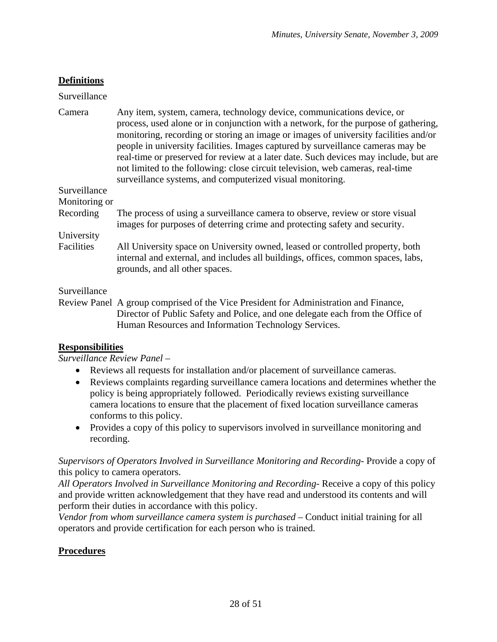## **Definitions**

## Surveillance

| Camera        | Any item, system, camera, technology device, communications device, or<br>process, used alone or in conjunction with a network, for the purpose of gathering,<br>monitoring, recording or storing an image or images of university facilities and/or<br>people in university facilities. Images captured by surveillance cameras may be<br>real-time or preserved for review at a later date. Such devices may include, but are<br>not limited to the following: close circuit television, web cameras, real-time<br>surveillance systems, and computerized visual monitoring. |
|---------------|--------------------------------------------------------------------------------------------------------------------------------------------------------------------------------------------------------------------------------------------------------------------------------------------------------------------------------------------------------------------------------------------------------------------------------------------------------------------------------------------------------------------------------------------------------------------------------|
| Surveillance  |                                                                                                                                                                                                                                                                                                                                                                                                                                                                                                                                                                                |
| Monitoring or |                                                                                                                                                                                                                                                                                                                                                                                                                                                                                                                                                                                |
| Recording     | The process of using a surveillance camera to observe, review or store visual<br>images for purposes of deterring crime and protecting safety and security.                                                                                                                                                                                                                                                                                                                                                                                                                    |
| University    |                                                                                                                                                                                                                                                                                                                                                                                                                                                                                                                                                                                |
| Facilities    | All University space on University owned, leased or controlled property, both<br>internal and external, and includes all buildings, offices, common spaces, labs,<br>grounds, and all other spaces.                                                                                                                                                                                                                                                                                                                                                                            |

Surveillance

Review Panel A group comprised of the Vice President for Administration and Finance, Director of Public Safety and Police, and one delegate each from the Office of Human Resources and Information Technology Services.

## **Responsibilities**

*Surveillance Review Panel –* 

- Reviews all requests for installation and/or placement of surveillance cameras.
- Reviews complaints regarding surveillance camera locations and determines whether the policy is being appropriately followed. Periodically reviews existing surveillance camera locations to ensure that the placement of fixed location surveillance cameras conforms to this policy.
- Provides a copy of this policy to supervisors involved in surveillance monitoring and recording.

*Supervisors of Operators Involved in Surveillance Monitoring and Recording-* Provide a copy of this policy to camera operators.

*All Operators Involved in Surveillance Monitoring and Recording-* Receive a copy of this policy and provide written acknowledgement that they have read and understood its contents and will perform their duties in accordance with this policy.

*Vendor from whom surveillance camera system is purchased – Conduct initial training for all* operators and provide certification for each person who is trained.

## **Procedures**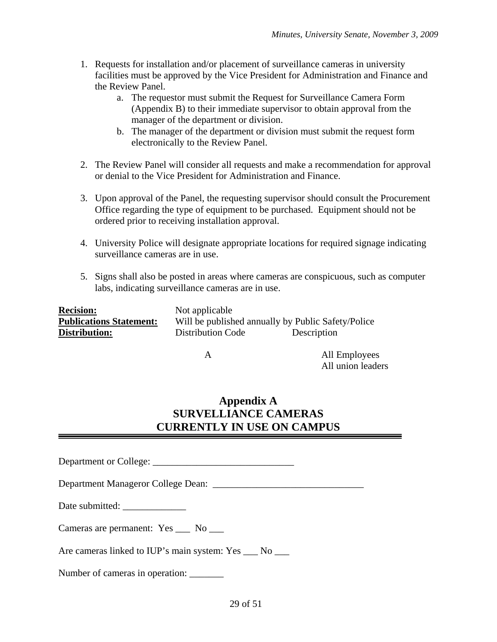- 1. Requests for installation and/or placement of surveillance cameras in university facilities must be approved by the Vice President for Administration and Finance and the Review Panel.
	- a. The requestor must submit the Request for Surveillance Camera Form (Appendix B) to their immediate supervisor to obtain approval from the manager of the department or division.
	- b. The manager of the department or division must submit the request form electronically to the Review Panel.
- 2. The Review Panel will consider all requests and make a recommendation for approval or denial to the Vice President for Administration and Finance.
- 3. Upon approval of the Panel, the requesting supervisor should consult the Procurement Office regarding the type of equipment to be purchased. Equipment should not be ordered prior to receiving installation approval.
- 4. University Police will designate appropriate locations for required signage indicating surveillance cameras are in use.
- 5. Signs shall also be posted in areas where cameras are conspicuous, such as computer labs, indicating surveillance cameras are in use.

| <b>Recision:</b>               | Not applicable                                     |             |
|--------------------------------|----------------------------------------------------|-------------|
| <b>Publications Statement:</b> | Will be published annually by Public Safety/Police |             |
| <b>Distribution:</b>           | <b>Distribution Code</b>                           | Description |

 A All Employees All union leaders

# **Appendix A SURVELLIANCE CAMERAS CURRENTLY IN USE ON CAMPUS**

Department or College: \_\_\_\_\_\_\_\_\_\_\_\_\_\_\_\_\_\_\_\_\_\_\_\_\_\_\_\_\_

Department Manageror College Dean: \_\_\_\_\_\_\_\_\_\_\_\_\_\_\_\_\_\_\_\_\_\_\_\_\_\_\_\_\_\_\_

Date submitted:

Cameras are permanent: Yes \_\_\_ No \_\_\_

Are cameras linked to IUP's main system: Yes \_\_\_ No \_\_\_

Number of cameras in operation: \_\_\_\_\_\_\_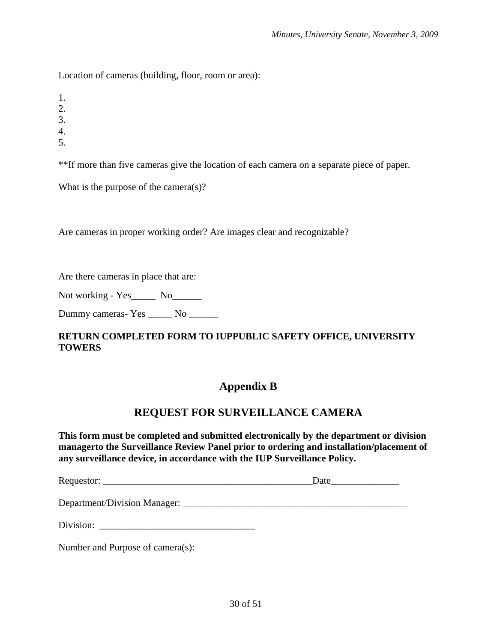Location of cameras (building, floor, room or area):

1.

2.

3.

4.

5.

\*\*If more than five cameras give the location of each camera on a separate piece of paper.

What is the purpose of the camera(s)?

Are cameras in proper working order? Are images clear and recognizable?

Are there cameras in place that are:

Not working - Yes\_\_\_\_\_\_ No\_\_\_\_\_\_

Dummy cameras- Yes \_\_\_\_\_\_ No \_\_\_\_\_\_\_

## **RETURN COMPLETED FORM TO IUPPUBLIC SAFETY OFFICE, UNIVERSITY TOWERS**

# **Appendix B**

# **REQUEST FOR SURVEILLANCE CAMERA**

**This form must be completed and submitted electronically by the department or division managerto the Surveillance Review Panel prior to ordering and installation/placement of any surveillance device, in accordance with the IUP Surveillance Policy.** 

Requestor: \_\_\_\_\_\_\_\_\_\_\_\_\_\_\_\_\_\_\_\_\_\_\_\_\_\_\_\_\_\_\_\_\_\_\_\_\_\_\_\_\_\_\_Date\_\_\_\_\_\_\_\_\_\_\_\_\_\_

Department/Division Manager: \_\_\_\_\_\_\_\_\_\_\_\_\_\_\_\_\_\_\_\_\_\_\_\_\_\_\_\_\_\_\_\_\_\_\_\_\_\_\_\_\_\_\_\_\_\_

| Division: |  |
|-----------|--|
|-----------|--|

Number and Purpose of camera(s):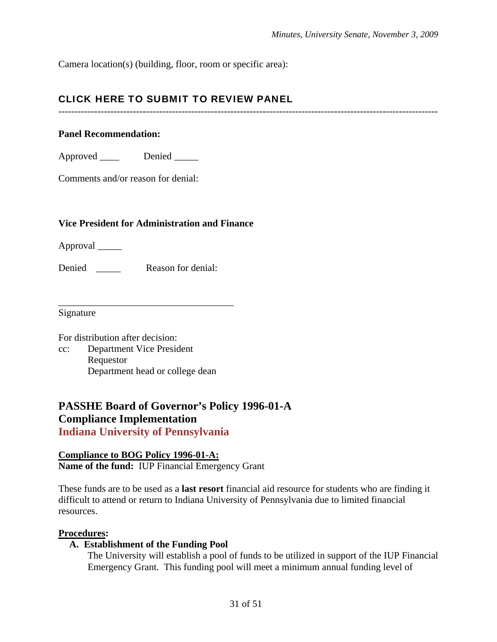Camera location(s) (building, floor, room or specific area):

## CLICK HERE TO SUBMIT TO REVIEW PANEL

---------------------------------------------------------------------------------------------------------------------

### **Panel Recommendation:**

Approved \_\_\_\_\_ Denied \_\_\_\_\_

Comments and/or reason for denial:

## **Vice President for Administration and Finance**

Approval \_\_\_\_\_

Denied Reason for denial:

\_\_\_\_\_\_\_\_\_\_\_\_\_\_\_\_\_\_\_\_\_\_\_\_\_\_\_\_\_\_\_\_\_\_\_\_

Signature

For distribution after decision: cc: Department Vice President Requestor Department head or college dean

# **PASSHE Board of Governor's Policy 1996-01-A Compliance Implementation**

**Indiana University of Pennsylvania** 

**Compliance to BOG Policy 1996-01-A: Name of the fund:** IUP Financial Emergency Grant

These funds are to be used as a **last resort** financial aid resource for students who are finding it difficult to attend or return to Indiana University of Pennsylvania due to limited financial resources.

### **Procedures:**

### **A. Establishment of the Funding Pool**

The University will establish a pool of funds to be utilized in support of the IUP Financial Emergency Grant. This funding pool will meet a minimum annual funding level of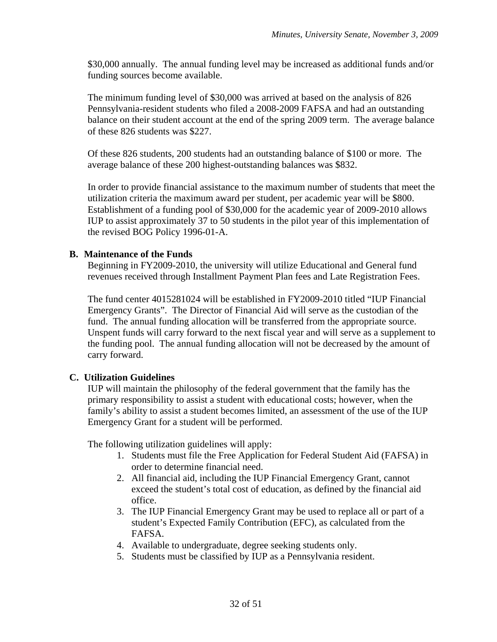\$30,000 annually. The annual funding level may be increased as additional funds and/or funding sources become available.

The minimum funding level of \$30,000 was arrived at based on the analysis of 826 Pennsylvania-resident students who filed a 2008-2009 FAFSA and had an outstanding balance on their student account at the end of the spring 2009 term. The average balance of these 826 students was \$227.

Of these 826 students, 200 students had an outstanding balance of \$100 or more. The average balance of these 200 highest-outstanding balances was \$832.

In order to provide financial assistance to the maximum number of students that meet the utilization criteria the maximum award per student, per academic year will be \$800. Establishment of a funding pool of \$30,000 for the academic year of 2009-2010 allows IUP to assist approximately 37 to 50 students in the pilot year of this implementation of the revised BOG Policy 1996-01-A.

## **B. Maintenance of the Funds**

Beginning in FY2009-2010, the university will utilize Educational and General fund revenues received through Installment Payment Plan fees and Late Registration Fees.

The fund center 4015281024 will be established in FY2009-2010 titled "IUP Financial Emergency Grants". The Director of Financial Aid will serve as the custodian of the fund. The annual funding allocation will be transferred from the appropriate source. Unspent funds will carry forward to the next fiscal year and will serve as a supplement to the funding pool. The annual funding allocation will not be decreased by the amount of carry forward.

## **C. Utilization Guidelines**

IUP will maintain the philosophy of the federal government that the family has the primary responsibility to assist a student with educational costs; however, when the family's ability to assist a student becomes limited, an assessment of the use of the IUP Emergency Grant for a student will be performed.

The following utilization guidelines will apply:

- 1. Students must file the Free Application for Federal Student Aid (FAFSA) in order to determine financial need.
- 2. All financial aid, including the IUP Financial Emergency Grant, cannot exceed the student's total cost of education, as defined by the financial aid office.
- 3. The IUP Financial Emergency Grant may be used to replace all or part of a student's Expected Family Contribution (EFC), as calculated from the FAFSA.
- 4. Available to undergraduate, degree seeking students only.
- 5. Students must be classified by IUP as a Pennsylvania resident.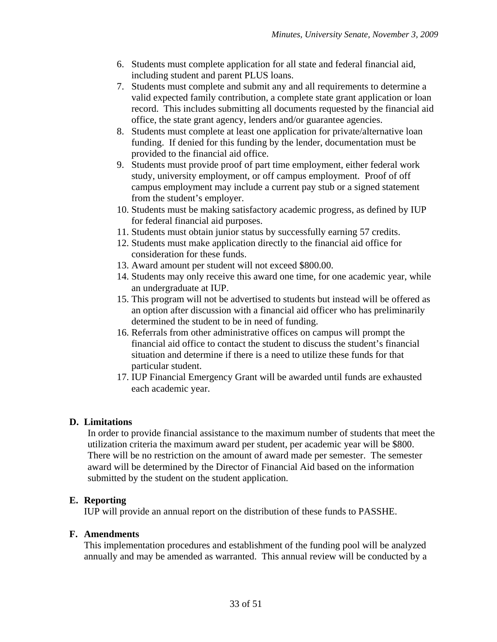- 6. Students must complete application for all state and federal financial aid, including student and parent PLUS loans.
- 7. Students must complete and submit any and all requirements to determine a valid expected family contribution, a complete state grant application or loan record. This includes submitting all documents requested by the financial aid office, the state grant agency, lenders and/or guarantee agencies.
- 8. Students must complete at least one application for private/alternative loan funding. If denied for this funding by the lender, documentation must be provided to the financial aid office.
- 9. Students must provide proof of part time employment, either federal work study, university employment, or off campus employment. Proof of off campus employment may include a current pay stub or a signed statement from the student's employer.
- 10. Students must be making satisfactory academic progress, as defined by IUP for federal financial aid purposes.
- 11. Students must obtain junior status by successfully earning 57 credits.
- 12. Students must make application directly to the financial aid office for consideration for these funds.
- 13. Award amount per student will not exceed \$800.00.
- 14. Students may only receive this award one time, for one academic year, while an undergraduate at IUP.
- 15. This program will not be advertised to students but instead will be offered as an option after discussion with a financial aid officer who has preliminarily determined the student to be in need of funding.
- 16. Referrals from other administrative offices on campus will prompt the financial aid office to contact the student to discuss the student's financial situation and determine if there is a need to utilize these funds for that particular student.
- 17. IUP Financial Emergency Grant will be awarded until funds are exhausted each academic year.

## **D. Limitations**

In order to provide financial assistance to the maximum number of students that meet the utilization criteria the maximum award per student, per academic year will be \$800. There will be no restriction on the amount of award made per semester. The semester award will be determined by the Director of Financial Aid based on the information submitted by the student on the student application.

### **E. Reporting**

IUP will provide an annual report on the distribution of these funds to PASSHE.

### **F. Amendments**

This implementation procedures and establishment of the funding pool will be analyzed annually and may be amended as warranted. This annual review will be conducted by a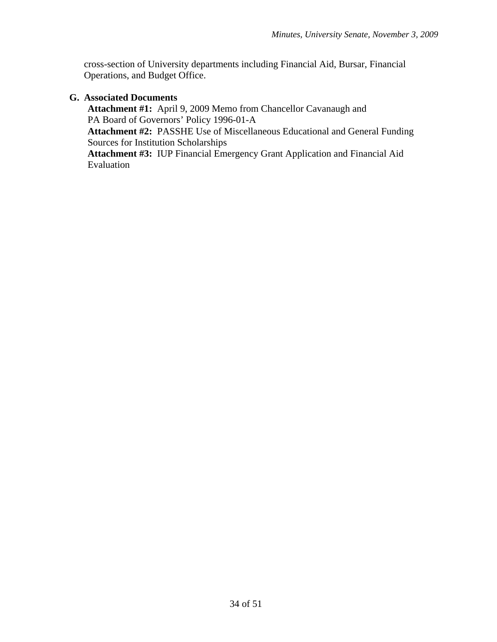cross-section of University departments including Financial Aid, Bursar, Financial Operations, and Budget Office.

## **G. Associated Documents**

**Attachment #1:** April 9, 2009 Memo from Chancellor Cavanaugh and PA Board of Governors' Policy 1996-01-A **Attachment #2:** PASSHE Use of Miscellaneous Educational and General Funding Sources for Institution Scholarships **Attachment #3:** IUP Financial Emergency Grant Application and Financial Aid Evaluation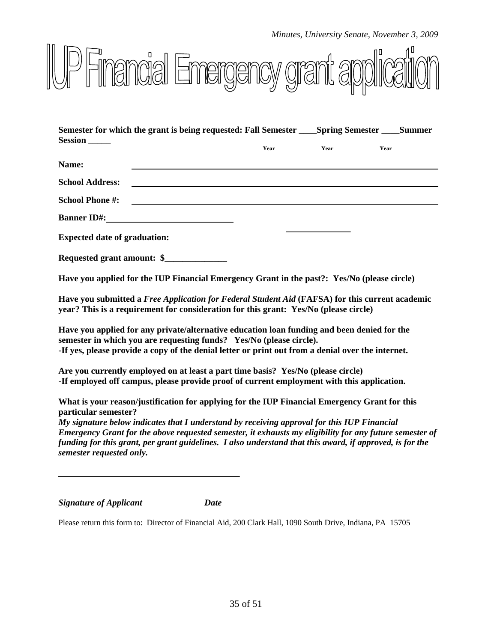

| Semester for which the grant is being requested: Fall Semester Spring Semester Summer                                                                                                                                              |      |      |      |
|------------------------------------------------------------------------------------------------------------------------------------------------------------------------------------------------------------------------------------|------|------|------|
| <b>Session</b>                                                                                                                                                                                                                     | Year | Year | Year |
| Name:                                                                                                                                                                                                                              |      |      |      |
| <b>School Address:</b>                                                                                                                                                                                                             |      |      |      |
| <b>School Phone #:</b>                                                                                                                                                                                                             |      |      |      |
| <b>Banner ID#:</b> The contract of the contract of the contract of the contract of the contract of the contract of the contract of the contract of the contract of the contract of the contract of the contract of the contract of |      |      |      |
| <b>Expected date of graduation:</b>                                                                                                                                                                                                |      |      |      |

**Requested grant amount: \$\_\_\_\_\_\_\_\_\_\_\_\_\_\_** 

**Have you applied for the IUP Financial Emergency Grant in the past?: Yes/No (please circle)** 

**Have you submitted a** *Free Application for Federal Student Aid* **(FAFSA) for this current academic year? This is a requirement for consideration for this grant: Yes/No (please circle)** 

**Have you applied for any private/alternative education loan funding and been denied for the semester in which you are requesting funds? Yes/No (please circle). -If yes, please provide a copy of the denial letter or print out from a denial over the internet.** 

**Are you currently employed on at least a part time basis? Yes/No (please circle) -If employed off campus, please provide proof of current employment with this application.** 

**What is your reason/justification for applying for the IUP Financial Emergency Grant for this particular semester?** 

*My signature below indicates that I understand by receiving approval for this IUP Financial Emergency Grant for the above requested semester, it exhausts my eligibility for any future semester of funding for this grant, per grant guidelines. I also understand that this award, if approved, is for the semester requested only.* 

*Signature of Applicant Date* 

Please return this form to: Director of Financial Aid, 200 Clark Hall, 1090 South Drive, Indiana, PA 15705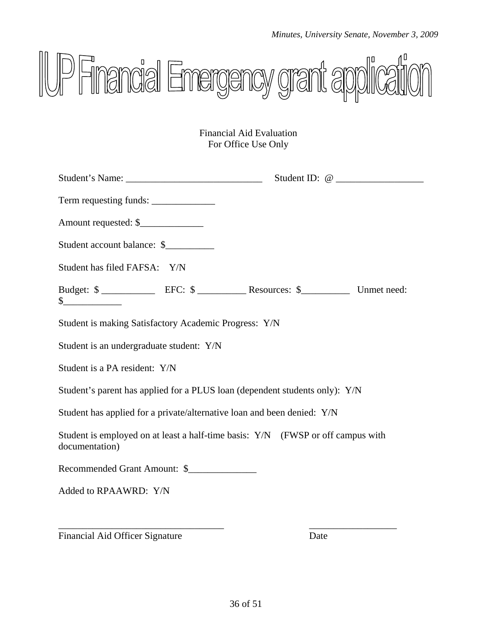

Financial Aid Evaluation For Office Use Only

| Amount requested: \$                                                                              |  |  |
|---------------------------------------------------------------------------------------------------|--|--|
| Student account balance: \$                                                                       |  |  |
| Student has filed FAFSA: Y/N                                                                      |  |  |
| Budget: \$                                                                                        |  |  |
| Student is making Satisfactory Academic Progress: Y/N                                             |  |  |
| Student is an undergraduate student: Y/N                                                          |  |  |
| Student is a PA resident: Y/N                                                                     |  |  |
| Student's parent has applied for a PLUS loan (dependent students only): Y/N                       |  |  |
| Student has applied for a private/alternative loan and been denied: Y/N                           |  |  |
| Student is employed on at least a half-time basis: Y/N (FWSP or off campus with<br>documentation) |  |  |
| Recommended Grant Amount: \$                                                                      |  |  |
| Added to RPAAWRD: Y/N                                                                             |  |  |

Financial Aid Officer Signature Date

\_\_\_\_\_\_\_\_\_\_\_\_\_\_\_\_\_\_\_\_\_\_\_\_\_\_\_\_\_\_\_\_\_\_ \_\_\_\_\_\_\_\_\_\_\_\_\_\_\_\_\_\_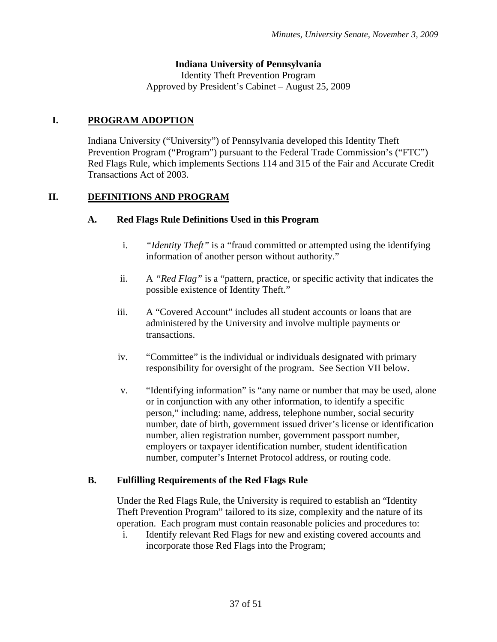## **Indiana University of Pennsylvania**

Identity Theft Prevention Program Approved by President's Cabinet – August 25, 2009

## **I. PROGRAM ADOPTION**

Indiana University ("University") of Pennsylvania developed this Identity Theft Prevention Program ("Program") pursuant to the Federal Trade Commission's ("FTC") Red Flags Rule, which implements Sections 114 and 315 of the Fair and Accurate Credit Transactions Act of 2003.

## **II. DEFINITIONS AND PROGRAM**

## **A. Red Flags Rule Definitions Used in this Program**

- i. *"Identity Theft"* is a "fraud committed or attempted using the identifying information of another person without authority."
- ii. A *"Red Flag"* is a "pattern, practice, or specific activity that indicates the possible existence of Identity Theft."
- iii. A "Covered Account" includes all student accounts or loans that are administered by the University and involve multiple payments or transactions.
- iv. "Committee" is the individual or individuals designated with primary responsibility for oversight of the program. See Section VII below.
- v. "Identifying information" is "any name or number that may be used, alone or in conjunction with any other information, to identify a specific person," including: name, address, telephone number, social security number, date of birth, government issued driver's license or identification number, alien registration number, government passport number, employers or taxpayer identification number, student identification number, computer's Internet Protocol address, or routing code.

## **B. Fulfilling Requirements of the Red Flags Rule**

Under the Red Flags Rule, the University is required to establish an "Identity Theft Prevention Program" tailored to its size, complexity and the nature of its operation. Each program must contain reasonable policies and procedures to:

i. Identify relevant Red Flags for new and existing covered accounts and incorporate those Red Flags into the Program;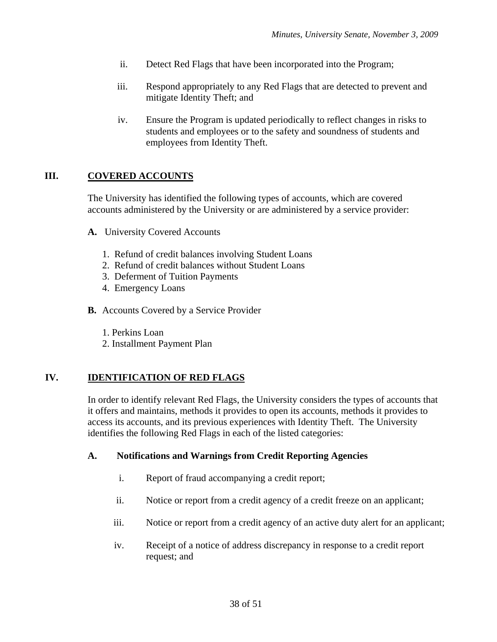- ii. Detect Red Flags that have been incorporated into the Program;
- iii. Respond appropriately to any Red Flags that are detected to prevent and mitigate Identity Theft; and
- iv. Ensure the Program is updated periodically to reflect changes in risks to students and employees or to the safety and soundness of students and employees from Identity Theft.

## **III. COVERED ACCOUNTS**

The University has identified the following types of accounts, which are covered accounts administered by the University or are administered by a service provider:

- **A.** University Covered Accounts
	- 1. Refund of credit balances involving Student Loans
	- 2. Refund of credit balances without Student Loans
	- 3. Deferment of Tuition Payments
	- 4. Emergency Loans
- **B.** Accounts Covered by a Service Provider
	- 1. Perkins Loan
	- 2. Installment Payment Plan

## **IV. IDENTIFICATION OF RED FLAGS**

In order to identify relevant Red Flags, the University considers the types of accounts that it offers and maintains, methods it provides to open its accounts, methods it provides to access its accounts, and its previous experiences with Identity Theft. The University identifies the following Red Flags in each of the listed categories:

### **A. Notifications and Warnings from Credit Reporting Agencies**

- i. Report of fraud accompanying a credit report;
- ii. Notice or report from a credit agency of a credit freeze on an applicant;
- iii. Notice or report from a credit agency of an active duty alert for an applicant;
- iv. Receipt of a notice of address discrepancy in response to a credit report request; and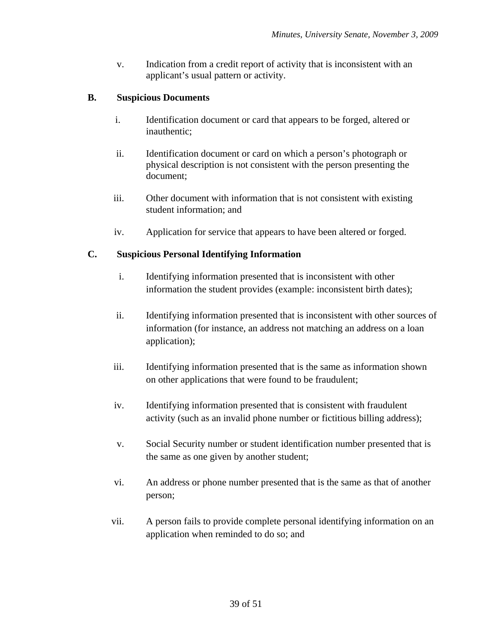v. Indication from a credit report of activity that is inconsistent with an applicant's usual pattern or activity.

## **B. Suspicious Documents**

- i. Identification document or card that appears to be forged, altered or inauthentic;
- ii. Identification document or card on which a person's photograph or physical description is not consistent with the person presenting the document;
- iii. Other document with information that is not consistent with existing student information; and
- iv. Application for service that appears to have been altered or forged.

## **C. Suspicious Personal Identifying Information**

- i. Identifying information presented that is inconsistent with other information the student provides (example: inconsistent birth dates);
- ii. Identifying information presented that is inconsistent with other sources of information (for instance, an address not matching an address on a loan application);
- iii. Identifying information presented that is the same as information shown on other applications that were found to be fraudulent;
- iv. Identifying information presented that is consistent with fraudulent activity (such as an invalid phone number or fictitious billing address);
- v. Social Security number or student identification number presented that is the same as one given by another student;
- vi. An address or phone number presented that is the same as that of another person;
- vii. A person fails to provide complete personal identifying information on an application when reminded to do so; and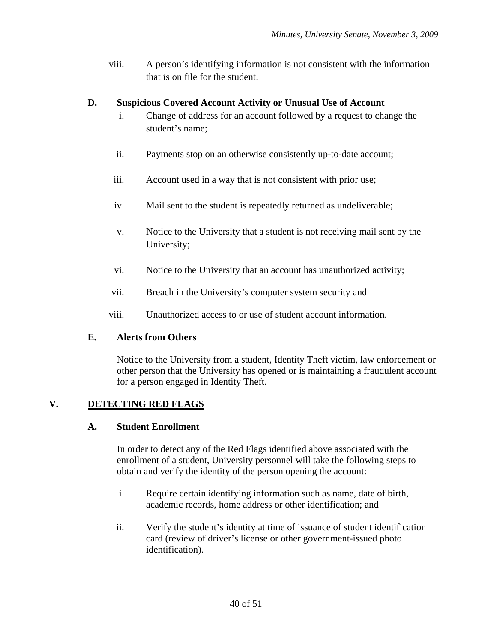viii. A person's identifying information is not consistent with the information that is on file for the student.

## **D. Suspicious Covered Account Activity or Unusual Use of Account**

- i. Change of address for an account followed by a request to change the student's name;
- ii. Payments stop on an otherwise consistently up-to-date account;
- iii. Account used in a way that is not consistent with prior use;
- iv. Mail sent to the student is repeatedly returned as undeliverable;
- v. Notice to the University that a student is not receiving mail sent by the University;
- vi. Notice to the University that an account has unauthorized activity;
- vii. Breach in the University's computer system security and
- viii. Unauthorized access to or use of student account information.

## **E. Alerts from Others**

Notice to the University from a student, Identity Theft victim, law enforcement or other person that the University has opened or is maintaining a fraudulent account for a person engaged in Identity Theft.

## **V. DETECTING RED FLAGS**

### **A. Student Enrollment**

In order to detect any of the Red Flags identified above associated with the enrollment of a student, University personnel will take the following steps to obtain and verify the identity of the person opening the account:

- i. Require certain identifying information such as name, date of birth, academic records, home address or other identification; and
- ii. Verify the student's identity at time of issuance of student identification card (review of driver's license or other government-issued photo identification).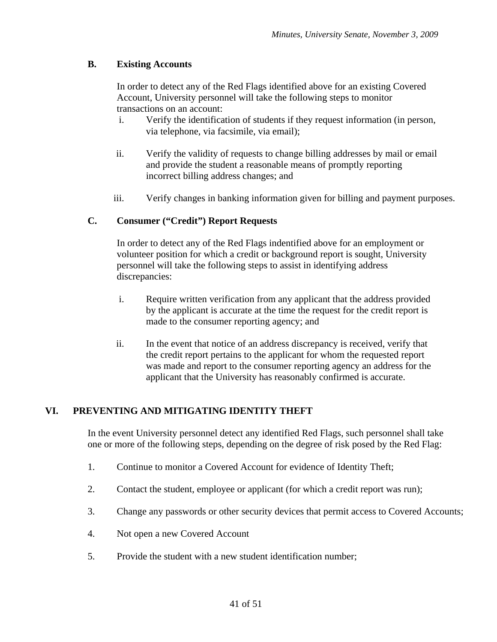## **B. Existing Accounts**

In order to detect any of the Red Flags identified above for an existing Covered Account, University personnel will take the following steps to monitor transactions on an account:

- i. Verify the identification of students if they request information (in person, via telephone, via facsimile, via email);
- ii. Verify the validity of requests to change billing addresses by mail or email and provide the student a reasonable means of promptly reporting incorrect billing address changes; and
- iii. Verify changes in banking information given for billing and payment purposes.

## **C. Consumer ("Credit") Report Requests**

In order to detect any of the Red Flags indentified above for an employment or volunteer position for which a credit or background report is sought, University personnel will take the following steps to assist in identifying address discrepancies:

- i. Require written verification from any applicant that the address provided by the applicant is accurate at the time the request for the credit report is made to the consumer reporting agency; and
- ii. In the event that notice of an address discrepancy is received, verify that the credit report pertains to the applicant for whom the requested report was made and report to the consumer reporting agency an address for the applicant that the University has reasonably confirmed is accurate.

## **VI. PREVENTING AND MITIGATING IDENTITY THEFT**

In the event University personnel detect any identified Red Flags, such personnel shall take one or more of the following steps, depending on the degree of risk posed by the Red Flag:

- 1. Continue to monitor a Covered Account for evidence of Identity Theft;
- 2. Contact the student, employee or applicant (for which a credit report was run);
- 3. Change any passwords or other security devices that permit access to Covered Accounts;
- 4. Not open a new Covered Account
- 5. Provide the student with a new student identification number;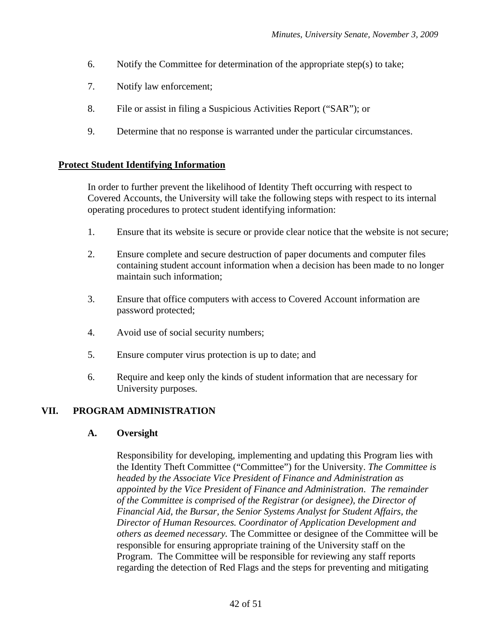- 6. Notify the Committee for determination of the appropriate step(s) to take;
- 7. Notify law enforcement;
- 8. File or assist in filing a Suspicious Activities Report ("SAR"); or
- 9. Determine that no response is warranted under the particular circumstances.

### **Protect Student Identifying Information**

In order to further prevent the likelihood of Identity Theft occurring with respect to Covered Accounts, the University will take the following steps with respect to its internal operating procedures to protect student identifying information:

- 1. Ensure that its website is secure or provide clear notice that the website is not secure;
- 2. Ensure complete and secure destruction of paper documents and computer files containing student account information when a decision has been made to no longer maintain such information;
- 3. Ensure that office computers with access to Covered Account information are password protected;
- 4. Avoid use of social security numbers;
- 5. Ensure computer virus protection is up to date; and
- 6. Require and keep only the kinds of student information that are necessary for University purposes.

### **VII. PROGRAM ADMINISTRATION**

### **A. Oversight**

Responsibility for developing, implementing and updating this Program lies with the Identity Theft Committee ("Committee") for the University. *The Committee is headed by the Associate Vice President of Finance and Administration as appointed by the Vice President of Finance and Administration*. *The remainder of the Committee is comprised of the Registrar (or designee), the Director of Financial Aid, the Bursar, the Senior Systems Analyst for Student Affairs, the Director of Human Resources. Coordinator of Application Development and others as deemed necessary.* The Committee or designee of the Committee will be responsible for ensuring appropriate training of the University staff on the Program. The Committee will be responsible for reviewing any staff reports regarding the detection of Red Flags and the steps for preventing and mitigating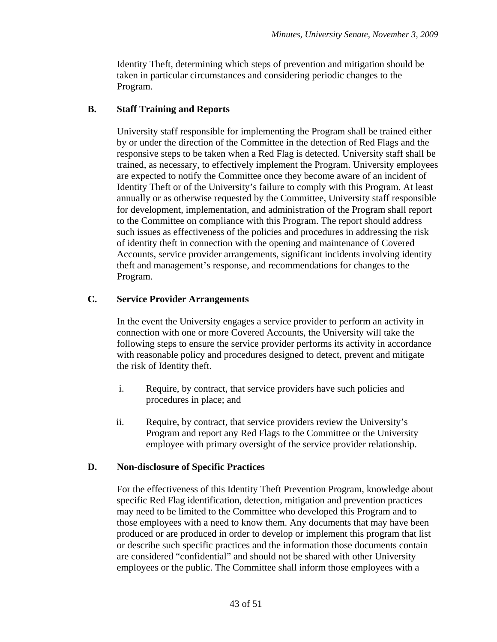Identity Theft, determining which steps of prevention and mitigation should be taken in particular circumstances and considering periodic changes to the Program.

## **B. Staff Training and Reports**

University staff responsible for implementing the Program shall be trained either by or under the direction of the Committee in the detection of Red Flags and the responsive steps to be taken when a Red Flag is detected. University staff shall be trained, as necessary, to effectively implement the Program. University employees are expected to notify the Committee once they become aware of an incident of Identity Theft or of the University's failure to comply with this Program. At least annually or as otherwise requested by the Committee, University staff responsible for development, implementation, and administration of the Program shall report to the Committee on compliance with this Program. The report should address such issues as effectiveness of the policies and procedures in addressing the risk of identity theft in connection with the opening and maintenance of Covered Accounts, service provider arrangements, significant incidents involving identity theft and management's response, and recommendations for changes to the Program.

## **C. Service Provider Arrangements**

In the event the University engages a service provider to perform an activity in connection with one or more Covered Accounts, the University will take the following steps to ensure the service provider performs its activity in accordance with reasonable policy and procedures designed to detect, prevent and mitigate the risk of Identity theft.

- i. Require, by contract, that service providers have such policies and procedures in place; and
- ii. Require, by contract, that service providers review the University's Program and report any Red Flags to the Committee or the University employee with primary oversight of the service provider relationship.

## **D. Non-disclosure of Specific Practices**

For the effectiveness of this Identity Theft Prevention Program, knowledge about specific Red Flag identification, detection, mitigation and prevention practices may need to be limited to the Committee who developed this Program and to those employees with a need to know them. Any documents that may have been produced or are produced in order to develop or implement this program that list or describe such specific practices and the information those documents contain are considered "confidential" and should not be shared with other University employees or the public. The Committee shall inform those employees with a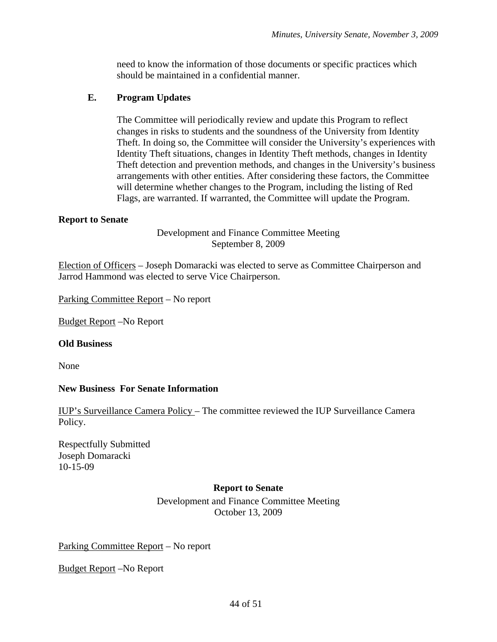need to know the information of those documents or specific practices which should be maintained in a confidential manner.

## **E. Program Updates**

The Committee will periodically review and update this Program to reflect changes in risks to students and the soundness of the University from Identity Theft. In doing so, the Committee will consider the University's experiences with Identity Theft situations, changes in Identity Theft methods, changes in Identity Theft detection and prevention methods, and changes in the University's business arrangements with other entities. After considering these factors, the Committee will determine whether changes to the Program, including the listing of Red Flags, are warranted. If warranted, the Committee will update the Program.

## **Report to Senate**

Development and Finance Committee Meeting September 8, 2009

Election of Officers – Joseph Domaracki was elected to serve as Committee Chairperson and Jarrod Hammond was elected to serve Vice Chairperson.

Parking Committee Report – No report

Budget Report –No Report

### **Old Business**

None

## **New Business For Senate Information**

IUP's Surveillance Camera Policy – The committee reviewed the IUP Surveillance Camera Policy.

Respectfully Submitted Joseph Domaracki 10-15-09

### **Report to Senate**

Development and Finance Committee Meeting October 13, 2009

Parking Committee Report – No report

Budget Report –No Report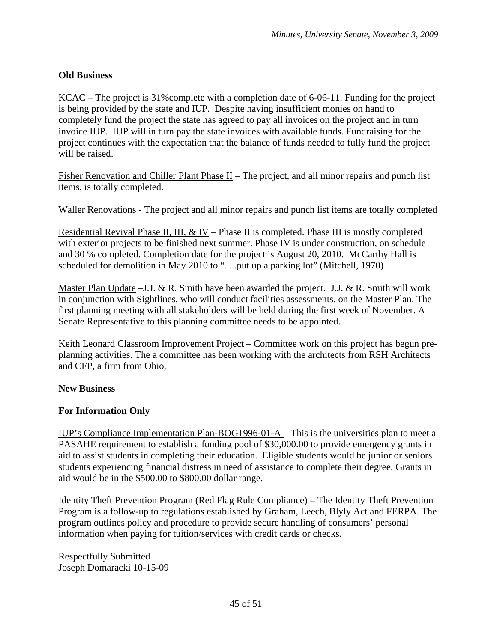## **Old Business**

KCAC – The project is 31%complete with a completion date of 6-06-11. Funding for the project is being provided by the state and IUP. Despite having insufficient monies on hand to completely fund the project the state has agreed to pay all invoices on the project and in turn invoice IUP. IUP will in turn pay the state invoices with available funds. Fundraising for the project continues with the expectation that the balance of funds needed to fully fund the project will be raised.

Fisher Renovation and Chiller Plant Phase  $II$  – The project, and all minor repairs and punch list items, is totally completed.

Waller Renovations - The project and all minor repairs and punch list items are totally completed

Residential Revival Phase II, III, & IV – Phase II is completed. Phase III is mostly completed with exterior projects to be finished next summer. Phase IV is under construction, on schedule and 30 % completed. Completion date for the project is August 20, 2010. McCarthy Hall is scheduled for demolition in May 2010 to ". . .put up a parking lot" (Mitchell, 1970)

Master Plan Update –J.J. & R. Smith have been awarded the project. J.J. & R. Smith will work in conjunction with Sightlines, who will conduct facilities assessments, on the Master Plan. The first planning meeting with all stakeholders will be held during the first week of November. A Senate Representative to this planning committee needs to be appointed.

Keith Leonard Classroom Improvement Project – Committee work on this project has begun preplanning activities. The a committee has been working with the architects from RSH Architects and CFP, a firm from Ohio,

### **New Business**

### **For Information Only**

IUP's Compliance Implementation Plan-BOG1996-01-A – This is the universities plan to meet a PASAHE requirement to establish a funding pool of \$30,000.00 to provide emergency grants in aid to assist students in completing their education. Eligible students would be junior or seniors students experiencing financial distress in need of assistance to complete their degree. Grants in aid would be in the \$500.00 to \$800.00 dollar range.

Identity Theft Prevention Program (Red Flag Rule Compliance) – The Identity Theft Prevention Program is a follow-up to regulations established by Graham, Leech, Blyly Act and FERPA. The program outlines policy and procedure to provide secure handling of consumers' personal information when paying for tuition/services with credit cards or checks.

Respectfully Submitted Joseph Domaracki 10-15-09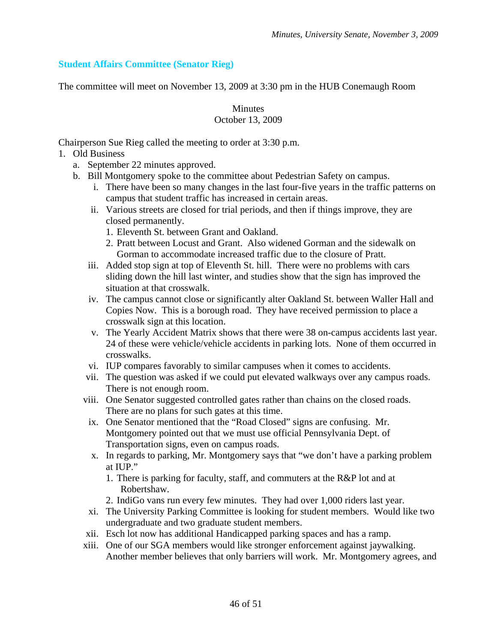## **Student Affairs Committee (Senator Rieg)**

The committee will meet on November 13, 2009 at 3:30 pm in the HUB Conemaugh Room

**Minutes** 

## October 13, 2009

Chairperson Sue Rieg called the meeting to order at 3:30 p.m.

- 1. Old Business
	- a. September 22 minutes approved.
	- b. Bill Montgomery spoke to the committee about Pedestrian Safety on campus.
		- i. There have been so many changes in the last four-five years in the traffic patterns on campus that student traffic has increased in certain areas.
		- ii. Various streets are closed for trial periods, and then if things improve, they are closed permanently.
			- 1. Eleventh St. between Grant and Oakland.
			- 2. Pratt between Locust and Grant. Also widened Gorman and the sidewalk on Gorman to accommodate increased traffic due to the closure of Pratt.
		- iii. Added stop sign at top of Eleventh St. hill. There were no problems with cars sliding down the hill last winter, and studies show that the sign has improved the situation at that crosswalk.
		- iv. The campus cannot close or significantly alter Oakland St. between Waller Hall and Copies Now. This is a borough road. They have received permission to place a crosswalk sign at this location.
		- v. The Yearly Accident Matrix shows that there were 38 on-campus accidents last year. 24 of these were vehicle/vehicle accidents in parking lots. None of them occurred in crosswalks.
		- vi. IUP compares favorably to similar campuses when it comes to accidents.
		- vii. The question was asked if we could put elevated walkways over any campus roads. There is not enough room.
		- viii. One Senator suggested controlled gates rather than chains on the closed roads. There are no plans for such gates at this time.
		- ix. One Senator mentioned that the "Road Closed" signs are confusing. Mr. Montgomery pointed out that we must use official Pennsylvania Dept. of Transportation signs, even on campus roads.
		- x. In regards to parking, Mr. Montgomery says that "we don't have a parking problem at IUP."
			- 1. There is parking for faculty, staff, and commuters at the R&P lot and at Robertshaw.
			- 2. IndiGo vans run every few minutes. They had over 1,000 riders last year.
		- xi. The University Parking Committee is looking for student members. Would like two undergraduate and two graduate student members.
		- xii. Esch lot now has additional Handicapped parking spaces and has a ramp.
		- xiii. One of our SGA members would like stronger enforcement against jaywalking. Another member believes that only barriers will work. Mr. Montgomery agrees, and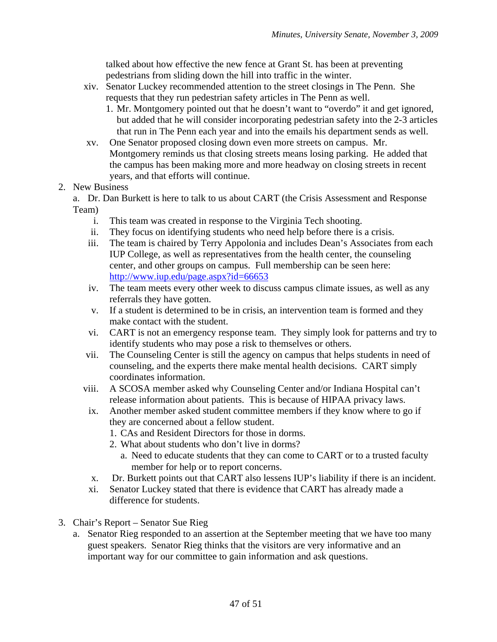talked about how effective the new fence at Grant St. has been at preventing pedestrians from sliding down the hill into traffic in the winter.

- xiv. Senator Luckey recommended attention to the street closings in The Penn. She requests that they run pedestrian safety articles in The Penn as well.
	- 1. Mr. Montgomery pointed out that he doesn't want to "overdo" it and get ignored, but added that he will consider incorporating pedestrian safety into the 2-3 articles that run in The Penn each year and into the emails his department sends as well.
- xv. One Senator proposed closing down even more streets on campus. Mr. Montgomery reminds us that closing streets means losing parking. He added that the campus has been making more and more headway on closing streets in recent years, and that efforts will continue.

## 2. New Business

a. Dr. Dan Burkett is here to talk to us about CART (the Crisis Assessment and Response Team)

- i. This team was created in response to the Virginia Tech shooting.
- ii. They focus on identifying students who need help before there is a crisis.
- iii. The team is chaired by Terry Appolonia and includes Dean's Associates from each IUP College, as well as representatives from the health center, the counseling center, and other groups on campus. Full membership can be seen here: <http://www.iup.edu/page.aspx?id=66653>
- iv. The team meets every other week to discuss campus climate issues, as well as any referrals they have gotten.
- v. If a student is determined to be in crisis, an intervention team is formed and they make contact with the student.
- vi. CART is not an emergency response team. They simply look for patterns and try to identify students who may pose a risk to themselves or others.
- vii. The Counseling Center is still the agency on campus that helps students in need of counseling, and the experts there make mental health decisions. CART simply coordinates information.
- viii. A SCOSA member asked why Counseling Center and/or Indiana Hospital can't release information about patients. This is because of HIPAA privacy laws.
- ix. Another member asked student committee members if they know where to go if they are concerned about a fellow student.
	- 1. CAs and Resident Directors for those in dorms.
	- 2. What about students who don't live in dorms?
		- a. Need to educate students that they can come to CART or to a trusted faculty member for help or to report concerns.
- x. Dr. Burkett points out that CART also lessens IUP's liability if there is an incident.
- xi. Senator Luckey stated that there is evidence that CART has already made a difference for students.
- 3. Chair's Report Senator Sue Rieg
	- a. Senator Rieg responded to an assertion at the September meeting that we have too many guest speakers. Senator Rieg thinks that the visitors are very informative and an important way for our committee to gain information and ask questions.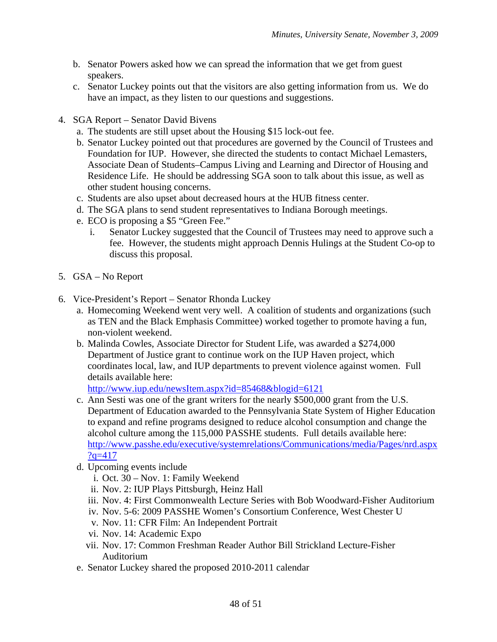- b. Senator Powers asked how we can spread the information that we get from guest speakers.
- c. Senator Luckey points out that the visitors are also getting information from us. We do have an impact, as they listen to our questions and suggestions.
- 4. SGA Report Senator David Bivens
	- a. The students are still upset about the Housing \$15 lock-out fee.
	- b. Senator Luckey pointed out that procedures are governed by the Council of Trustees and Foundation for IUP. However, she directed the students to contact Michael Lemasters, Associate Dean of Students–Campus Living and Learning and Director of Housing and Residence Life. He should be addressing SGA soon to talk about this issue, as well as other student housing concerns.
	- c. Students are also upset about decreased hours at the HUB fitness center.
	- d. The SGA plans to send student representatives to Indiana Borough meetings.
	- e. ECO is proposing a \$5 "Green Fee."
		- i. Senator Luckey suggested that the Council of Trustees may need to approve such a fee. However, the students might approach Dennis Hulings at the Student Co-op to discuss this proposal.
- 5. GSA No Report
- 6. Vice-President's Report Senator Rhonda Luckey
	- a. Homecoming Weekend went very well. A coalition of students and organizations (such as TEN and the Black Emphasis Committee) worked together to promote having a fun, non-violent weekend.
	- b. Malinda Cowles, Associate Director for Student Life, was awarded a \$274,000 Department of Justice grant to continue work on the IUP Haven project, which coordinates local, law, and IUP departments to prevent violence against women. Full details available here:

<http://www.iup.edu/newsItem.aspx?id=85468&blogid=6121>

- c. Ann Sesti was one of the grant writers for the nearly \$500,000 grant from the U.S. Department of Education awarded to the Pennsylvania State System of Higher Education to expand and refine programs designed to reduce alcohol consumption and change the alcohol culture among the 115,000 PASSHE students. Full details available here: [http://www.passhe.edu/executive/systemrelations/Communications/media/Pages/nrd.aspx](http://www.passhe.edu/executive/systemrelations/Communications/media/Pages/nrd.aspx?q=417)  $?q=417$
- d. Upcoming events include
	- i. Oct. 30 Nov. 1: Family Weekend
	- ii. Nov. 2: IUP Plays Pittsburgh, Heinz Hall
	- iii. Nov. 4: First Commonwealth Lecture Series with Bob Woodward-Fisher Auditorium
	- iv. Nov. 5-6: 2009 PASSHE Women's Consortium Conference, West Chester U
	- v. Nov. 11: CFR Film: An Independent Portrait
	- vi. Nov. 14: Academic Expo
	- vii. Nov. 17: Common Freshman Reader Author Bill Strickland Lecture-Fisher Auditorium
- e. Senator Luckey shared the proposed 2010-2011 calendar